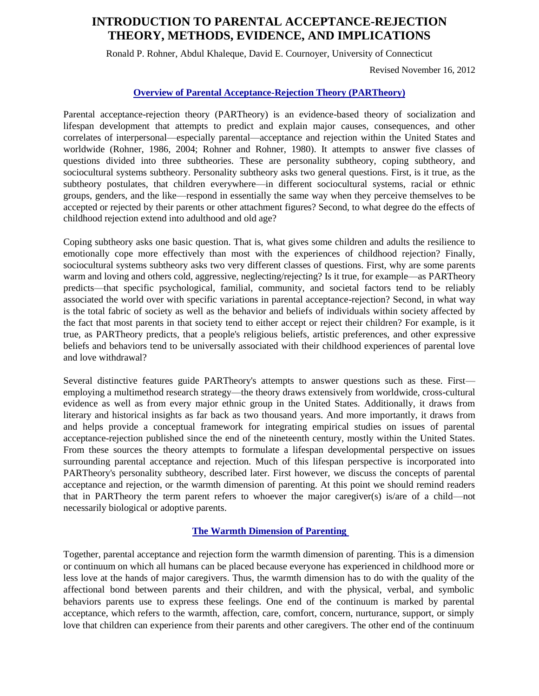# **INTRODUCTION TO PARENTAL ACCEPTANCE-REJECTION THEORY, METHODS, EVIDENCE, AND IMPLICATIONS**

Ronald P. Rohner, Abdul Khaleque, David E. Cournoyer, University of Connecticut

Revised November 16, 2012

## **Overview of Parental Acceptance-Rejection Theory (PARTheory)**

Parental acceptance-rejection theory (PARTheory) is an evidence-based theory of socialization and lifespan development that attempts to predict and explain major causes, consequences, and other correlates of interpersonal—especially parental—acceptance and rejection within the United States and worldwide (Rohner, 1986, 2004; Rohner and Rohner, 1980). It attempts to answer five classes of questions divided into three subtheories. These are personality subtheory, coping subtheory, and sociocultural systems subtheory. Personality subtheory asks two general questions. First, is it true, as the subtheory postulates, that children everywhere—in different sociocultural systems, racial or ethnic groups, genders, and the like—respond in essentially the same way when they perceive themselves to be accepted or rejected by their parents or other attachment figures? Second, to what degree do the effects of childhood rejection extend into adulthood and old age?

Coping subtheory asks one basic question. That is, what gives some children and adults the resilience to emotionally cope more effectively than most with the experiences of childhood rejection? Finally, sociocultural systems subtheory asks two very different classes of questions. First, why are some parents warm and loving and others cold, aggressive, neglecting/rejecting? Is it true, for example—as PARTheory predicts—that specific psychological, familial, community, and societal factors tend to be reliably associated the world over with specific variations in parental acceptance-rejection? Second, in what way is the total fabric of society as well as the behavior and beliefs of individuals within society affected by the fact that most parents in that society tend to either accept or reject their children? For example, is it true, as PARTheory predicts, that a people's religious beliefs, artistic preferences, and other expressive beliefs and behaviors tend to be universally associated with their childhood experiences of parental love and love withdrawal?

Several distinctive features guide PARTheory's attempts to answer questions such as these. First employing a multimethod research strategy—the theory draws extensively from worldwide, cross-cultural evidence as well as from every major ethnic group in the United States. Additionally, it draws from literary and historical insights as far back as two thousand years. And more importantly, it draws from and helps provide a conceptual framework for integrating empirical studies on issues of parental acceptance-rejection published since the end of the nineteenth century, mostly within the United States. From these sources the theory attempts to formulate a lifespan developmental perspective on issues surrounding parental acceptance and rejection. Much of this lifespan perspective is incorporated into PARTheory's personality subtheory, described later. First however, we discuss the concepts of parental acceptance and rejection, or the warmth dimension of parenting. At this point we should remind readers that in PARTheory the term parent refers to whoever the major caregiver(s) is/are of a child—not necessarily biological or adoptive parents.

## **The Warmth Dimension of Parenting**

Together, parental acceptance and rejection form the warmth dimension of parenting. This is a dimension or continuum on which all humans can be placed because everyone has experienced in childhood more or less love at the hands of major caregivers. Thus, the warmth dimension has to do with the quality of the affectional bond between parents and their children, and with the physical, verbal, and symbolic behaviors parents use to express these feelings. One end of the continuum is marked by parental acceptance, which refers to the warmth, affection, care, comfort, concern, nurturance, support, or simply love that children can experience from their parents and other caregivers. The other end of the continuum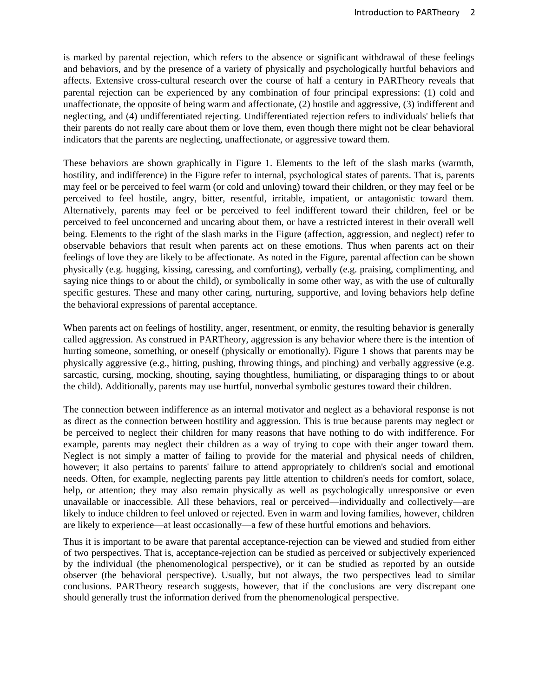is marked by parental rejection, which refers to the absence or significant withdrawal of these feelings and behaviors, and by the presence of a variety of physically and psychologically hurtful behaviors and affects. Extensive cross-cultural research over the course of half a century in PARTheory reveals that parental rejection can be experienced by any combination of four principal expressions: (1) cold and unaffectionate, the opposite of being warm and affectionate, (2) hostile and aggressive, (3) indifferent and neglecting, and (4) undifferentiated rejecting. Undifferentiated rejection refers to individuals' beliefs that their parents do not really care about them or love them, even though there might not be clear behavioral indicators that the parents are neglecting, unaffectionate, or aggressive toward them.

These behaviors are shown graphically in Figure 1. Elements to the left of the slash marks (warmth, hostility, and indifference) in the Figure refer to internal, psychological states of parents. That is, parents may feel or be perceived to feel warm (or cold and unloving) toward their children, or they may feel or be perceived to feel hostile, angry, bitter, resentful, irritable, impatient, or antagonistic toward them. Alternatively, parents may feel or be perceived to feel indifferent toward their children, feel or be perceived to feel unconcerned and uncaring about them, or have a restricted interest in their overall well being. Elements to the right of the slash marks in the Figure (affection, aggression, and neglect) refer to observable behaviors that result when parents act on these emotions. Thus when parents act on their feelings of love they are likely to be affectionate. As noted in the Figure, parental affection can be shown physically (e.g. hugging, kissing, caressing, and comforting), verbally (e.g. praising, complimenting, and saying nice things to or about the child), or symbolically in some other way, as with the use of culturally specific gestures. These and many other caring, nurturing, supportive, and loving behaviors help define the behavioral expressions of parental acceptance.

When parents act on feelings of hostility, anger, resentment, or enmity, the resulting behavior is generally called aggression. As construed in PARTheory, aggression is any behavior where there is the intention of hurting someone, something, or oneself (physically or emotionally). Figure 1 shows that parents may be physically aggressive (e.g., hitting, pushing, throwing things, and pinching) and verbally aggressive (e.g. sarcastic, cursing, mocking, shouting, saying thoughtless, humiliating, or disparaging things to or about the child). Additionally, parents may use hurtful, nonverbal symbolic gestures toward their children.

The connection between indifference as an internal motivator and neglect as a behavioral response is not as direct as the connection between hostility and aggression. This is true because parents may neglect or be perceived to neglect their children for many reasons that have nothing to do with indifference. For example, parents may neglect their children as a way of trying to cope with their anger toward them. Neglect is not simply a matter of failing to provide for the material and physical needs of children, however; it also pertains to parents' failure to attend appropriately to children's social and emotional needs. Often, for example, neglecting parents pay little attention to children's needs for comfort, solace, help, or attention; they may also remain physically as well as psychologically unresponsive or even unavailable or inaccessible. All these behaviors, real or perceived—individually and collectively—are likely to induce children to feel unloved or rejected. Even in warm and loving families, however, children are likely to experience—at least occasionally—a few of these hurtful emotions and behaviors.

Thus it is important to be aware that parental acceptance-rejection can be viewed and studied from either of two perspectives. That is, acceptance-rejection can be studied as perceived or subjectively experienced by the individual (the phenomenological perspective), or it can be studied as reported by an outside observer (the behavioral perspective). Usually, but not always, the two perspectives lead to similar conclusions. PARTheory research suggests, however, that if the conclusions are very discrepant one should generally trust the information derived from the phenomenological perspective.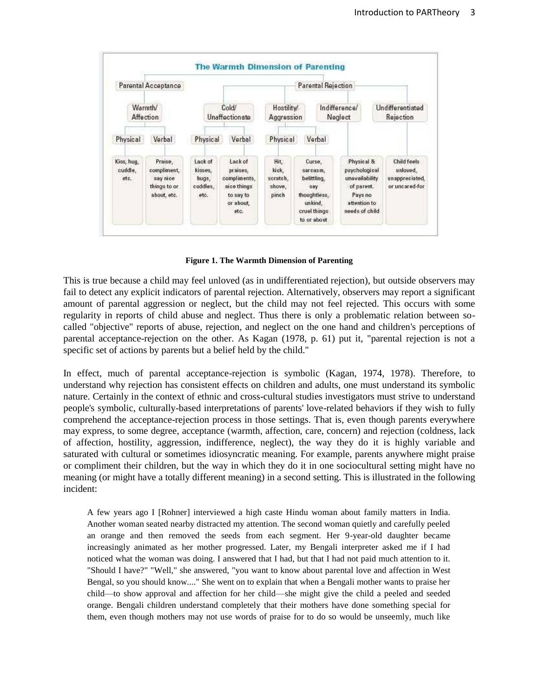

**Figure 1. The Warmth Dimension of Parenting** 

This is true because a child may feel unloved (as in undifferentiated rejection), but outside observers may fail to detect any explicit indicators of parental rejection. Alternatively, observers may report a significant amount of parental aggression or neglect, but the child may not feel rejected. This occurs with some regularity in reports of child abuse and neglect. Thus there is only a problematic relation between socalled "objective" reports of abuse, rejection, and neglect on the one hand and children's perceptions of parental acceptance-rejection on the other. As Kagan (1978, p. 61) put it, "parental rejection is not a specific set of actions by parents but a belief held by the child."

In effect, much of parental acceptance-rejection is symbolic (Kagan, 1974, 1978). Therefore, to understand why rejection has consistent effects on children and adults, one must understand its symbolic nature. Certainly in the context of ethnic and cross-cultural studies investigators must strive to understand people's symbolic, culturally-based interpretations of parents' love-related behaviors if they wish to fully comprehend the acceptance-rejection process in those settings. That is, even though parents everywhere may express, to some degree, acceptance (warmth, affection, care, concern) and rejection (coldness, lack of affection, hostility, aggression, indifference, neglect), the way they do it is highly variable and saturated with cultural or sometimes idiosyncratic meaning. For example, parents anywhere might praise or compliment their children, but the way in which they do it in one sociocultural setting might have no meaning (or might have a totally different meaning) in a second setting. This is illustrated in the following incident:

A few years ago I [Rohner] interviewed a high caste Hindu woman about family matters in India. Another woman seated nearby distracted my attention. The second woman quietly and carefully peeled an orange and then removed the seeds from each segment. Her 9-year-old daughter became increasingly animated as her mother progressed. Later, my Bengali interpreter asked me if I had noticed what the woman was doing. I answered that I had, but that I had not paid much attention to it. "Should I have?" "Well," she answered, "you want to know about parental love and affection in West Bengal, so you should know...." She went on to explain that when a Bengali mother wants to praise her child—to show approval and affection for her child—she might give the child a peeled and seeded orange. Bengali children understand completely that their mothers have done something special for them, even though mothers may not use words of praise for to do so would be unseemly, much like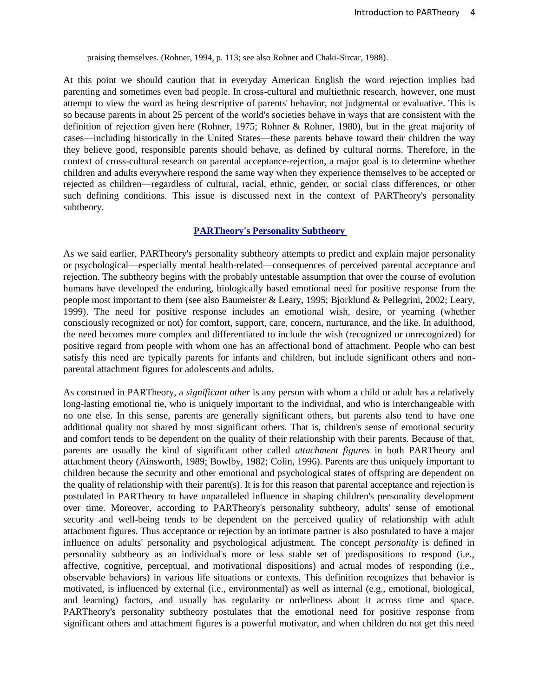praising themselves. (Rohner, 1994, p. 113; see also Rohner and Chaki-Sircar, 1988).

At this point we should caution that in everyday American English the word rejection implies bad parenting and sometimes even bad people. In cross-cultural and multiethnic research, however, one must attempt to view the word as being descriptive of parents' behavior, not judgmental or evaluative. This is so because parents in about 25 percent of the world's societies behave in ways that are consistent with the definition of rejection given here (Rohner, 1975; Rohner & Rohner, 1980), but in the great majority of cases—including historically in the United States—these parents behave toward their children the way they believe good, responsible parents should behave, as defined by cultural norms. Therefore, in the context of cross-cultural research on parental acceptance-rejection, a major goal is to determine whether children and adults everywhere respond the same way when they experience themselves to be accepted or rejected as children—regardless of cultural, racial, ethnic, gender, or social class differences, or other such defining conditions. This issue is discussed next in the context of PARTheory's personality subtheory.

#### **PARTheory's Personality Subtheory**

As we said earlier, PARTheory's personality subtheory attempts to predict and explain major personality or psychological—especially mental health-related—consequences of perceived parental acceptance and rejection. The subtheory begins with the probably untestable assumption that over the course of evolution humans have developed the enduring, biologically based emotional need for positive response from the people most important to them (see also Baumeister & Leary, 1995; Bjorklund & Pellegrini, 2002; Leary, 1999). The need for positive response includes an emotional wish, desire, or yearning (whether consciously recognized or not) for comfort, support, care, concern, nurturance, and the like. In adulthood, the need becomes more complex and differentiated to include the wish (recognized or unrecognized) for positive regard from people with whom one has an affectional bond of attachment. People who can best satisfy this need are typically parents for infants and children, but include significant others and nonparental attachment figures for adolescents and adults.

As construed in PARTheory, a *significant other* is any person with whom a child or adult has a relatively long-lasting emotional tie, who is uniquely important to the individual, and who is interchangeable with no one else. In this sense, parents are generally significant others, but parents also tend to have one additional quality not shared by most significant others. That is, children's sense of emotional security and comfort tends to be dependent on the quality of their relationship with their parents. Because of that, parents are usually the kind of significant other called *attachment figures* in both PARTheory and attachment theory (Ainsworth, 1989; Bowlby, 1982; Colin, 1996). Parents are thus uniquely important to children because the security and other emotional and psychological states of offspring are dependent on the quality of relationship with their parent(s). It is for this reason that parental acceptance and rejection is postulated in PARTheory to have unparalleled influence in shaping children's personality development over time. Moreover, according to PARTheory's personality subtheory, adults' sense of emotional security and well-being tends to be dependent on the perceived quality of relationship with adult attachment figures. Thus acceptance or rejection by an intimate partner is also postulated to have a major influence on adults' personality and psychological adjustment. The concept *personality* is defined in personality subtheory as an individual's more or less stable set of predispositions to respond (i.e., affective, cognitive, perceptual, and motivational dispositions) and actual modes of responding (i.e., observable behaviors) in various life situations or contexts. This definition recognizes that behavior is motivated, is influenced by external (i.e., environmental) as well as internal (e.g., emotional, biological, and learning) factors, and usually has regularity or orderliness about it across time and space. PARTheory's personality subtheory postulates that the emotional need for positive response from significant others and attachment figures is a powerful motivator, and when children do not get this need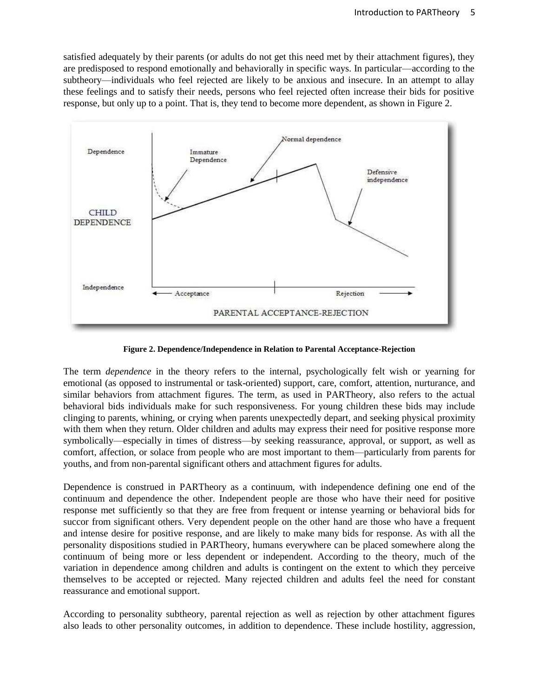satisfied adequately by their parents (or adults do not get this need met by their attachment figures), they are predisposed to respond emotionally and behaviorally in specific ways. In particular—according to the subtheory—individuals who feel rejected are likely to be anxious and insecure. In an attempt to allay these feelings and to satisfy their needs, persons who feel rejected often increase their bids for positive response, but only up to a point. That is, they tend to become more dependent, as shown in Figure 2.



**Figure 2. Dependence/Independence in Relation to Parental Acceptance-Rejection** 

The term *dependence* in the theory refers to the internal, psychologically felt wish or yearning for emotional (as opposed to instrumental or task-oriented) support, care, comfort, attention, nurturance, and similar behaviors from attachment figures. The term, as used in PARTheory, also refers to the actual behavioral bids individuals make for such responsiveness. For young children these bids may include clinging to parents, whining, or crying when parents unexpectedly depart, and seeking physical proximity with them when they return. Older children and adults may express their need for positive response more symbolically—especially in times of distress—by seeking reassurance, approval, or support, as well as comfort, affection, or solace from people who are most important to them—particularly from parents for youths, and from non-parental significant others and attachment figures for adults.

Dependence is construed in PARTheory as a continuum, with independence defining one end of the continuum and dependence the other. Independent people are those who have their need for positive response met sufficiently so that they are free from frequent or intense yearning or behavioral bids for succor from significant others. Very dependent people on the other hand are those who have a frequent and intense desire for positive response, and are likely to make many bids for response. As with all the personality dispositions studied in PARTheory, humans everywhere can be placed somewhere along the continuum of being more or less dependent or independent. According to the theory, much of the variation in dependence among children and adults is contingent on the extent to which they perceive themselves to be accepted or rejected. Many rejected children and adults feel the need for constant reassurance and emotional support.

According to personality subtheory, parental rejection as well as rejection by other attachment figures also leads to other personality outcomes, in addition to dependence. These include hostility, aggression,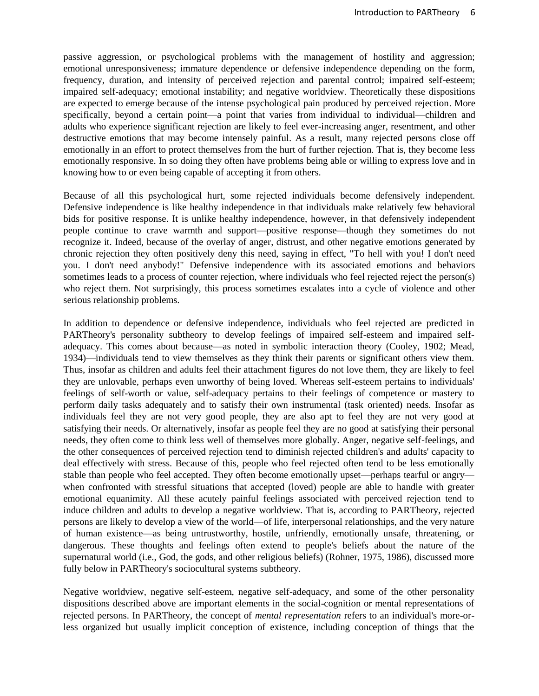passive aggression, or psychological problems with the management of hostility and aggression; emotional unresponsiveness; immature dependence or defensive independence depending on the form, frequency, duration, and intensity of perceived rejection and parental control; impaired self-esteem; impaired self-adequacy; emotional instability; and negative worldview. Theoretically these dispositions are expected to emerge because of the intense psychological pain produced by perceived rejection. More specifically, beyond a certain point—a point that varies from individual to individual—children and adults who experience significant rejection are likely to feel ever-increasing anger, resentment, and other destructive emotions that may become intensely painful. As a result, many rejected persons close off emotionally in an effort to protect themselves from the hurt of further rejection. That is, they become less emotionally responsive. In so doing they often have problems being able or willing to express love and in knowing how to or even being capable of accepting it from others.

Because of all this psychological hurt, some rejected individuals become defensively independent. Defensive independence is like healthy independence in that individuals make relatively few behavioral bids for positive response. It is unlike healthy independence, however, in that defensively independent people continue to crave warmth and support—positive response—though they sometimes do not recognize it. Indeed, because of the overlay of anger, distrust, and other negative emotions generated by chronic rejection they often positively deny this need, saying in effect, "To hell with you! I don't need you. I don't need anybody!" Defensive independence with its associated emotions and behaviors sometimes leads to a process of counter rejection, where individuals who feel rejected reject the person(s) who reject them. Not surprisingly, this process sometimes escalates into a cycle of violence and other serious relationship problems.

In addition to dependence or defensive independence, individuals who feel rejected are predicted in PARTheory's personality subtheory to develop feelings of impaired self-esteem and impaired selfadequacy. This comes about because—as noted in symbolic interaction theory (Cooley, 1902; Mead, 1934)—individuals tend to view themselves as they think their parents or significant others view them. Thus, insofar as children and adults feel their attachment figures do not love them, they are likely to feel they are unlovable, perhaps even unworthy of being loved. Whereas self-esteem pertains to individuals' feelings of self-worth or value, self-adequacy pertains to their feelings of competence or mastery to perform daily tasks adequately and to satisfy their own instrumental (task oriented) needs. Insofar as individuals feel they are not very good people, they are also apt to feel they are not very good at satisfying their needs. Or alternatively, insofar as people feel they are no good at satisfying their personal needs, they often come to think less well of themselves more globally. Anger, negative self-feelings, and the other consequences of perceived rejection tend to diminish rejected children's and adults' capacity to deal effectively with stress. Because of this, people who feel rejected often tend to be less emotionally stable than people who feel accepted. They often become emotionally upset—perhaps tearful or angry when confronted with stressful situations that accepted (loved) people are able to handle with greater emotional equanimity. All these acutely painful feelings associated with perceived rejection tend to induce children and adults to develop a negative worldview. That is, according to PARTheory, rejected persons are likely to develop a view of the world—of life, interpersonal relationships, and the very nature of human existence—as being untrustworthy, hostile, unfriendly, emotionally unsafe, threatening, or dangerous. These thoughts and feelings often extend to people's beliefs about the nature of the supernatural world (i.e., God, the gods, and other religious beliefs) (Rohner, 1975, 1986), discussed more fully below in PARTheory's sociocultural systems subtheory.

Negative worldview, negative self-esteem, negative self-adequacy, and some of the other personality dispositions described above are important elements in the social-cognition or mental representations of rejected persons. In PARTheory, the concept of *mental representation* refers to an individual's more-orless organized but usually implicit conception of existence, including conception of things that the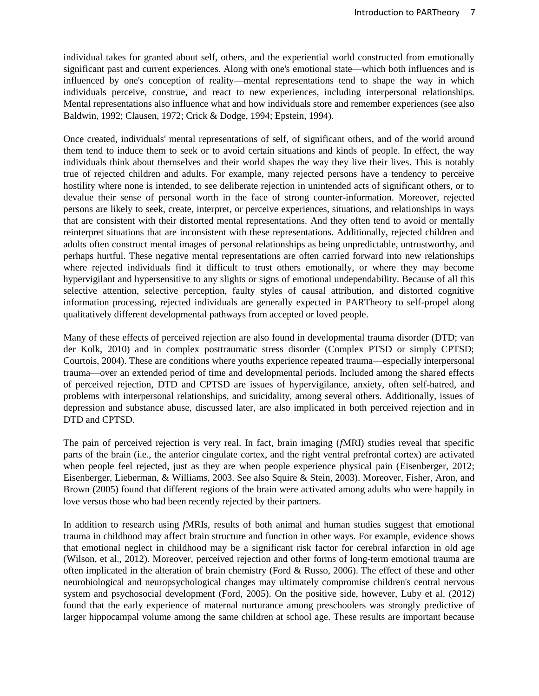individual takes for granted about self, others, and the experiential world constructed from emotionally significant past and current experiences. Along with one's emotional state—which both influences and is influenced by one's conception of reality—mental representations tend to shape the way in which individuals perceive, construe, and react to new experiences, including interpersonal relationships. Mental representations also influence what and how individuals store and remember experiences (see also Baldwin, 1992; Clausen, 1972; Crick & Dodge, 1994; Epstein, 1994).

Once created, individuals' mental representations of self, of significant others, and of the world around them tend to induce them to seek or to avoid certain situations and kinds of people. In effect, the way individuals think about themselves and their world shapes the way they live their lives. This is notably true of rejected children and adults. For example, many rejected persons have a tendency to perceive hostility where none is intended, to see deliberate rejection in unintended acts of significant others, or to devalue their sense of personal worth in the face of strong counter-information. Moreover, rejected persons are likely to seek, create, interpret, or perceive experiences, situations, and relationships in ways that are consistent with their distorted mental representations. And they often tend to avoid or mentally reinterpret situations that are inconsistent with these representations. Additionally, rejected children and adults often construct mental images of personal relationships as being unpredictable, untrustworthy, and perhaps hurtful. These negative mental representations are often carried forward into new relationships where rejected individuals find it difficult to trust others emotionally, or where they may become hypervigilant and hypersensitive to any slights or signs of emotional undependability. Because of all this selective attention, selective perception, faulty styles of causal attribution, and distorted cognitive information processing, rejected individuals are generally expected in PARTheory to self-propel along qualitatively different developmental pathways from accepted or loved people.

Many of these effects of perceived rejection are also found in developmental trauma disorder (DTD; van der Kolk, 2010) and in complex posttraumatic stress disorder (Complex PTSD or simply CPTSD; Courtois, 2004). These are conditions where youths experience repeated trauma—especially interpersonal trauma—over an extended period of time and developmental periods. Included among the shared effects of perceived rejection, DTD and CPTSD are issues of hypervigilance, anxiety, often self-hatred, and problems with interpersonal relationships, and suicidality, among several others. Additionally, issues of depression and substance abuse, discussed later, are also implicated in both perceived rejection and in DTD and CPTSD.

The pain of perceived rejection is very real. In fact, brain imaging (*f*MRI) studies reveal that specific parts of the brain (i.e., the anterior cingulate cortex, and the right ventral prefrontal cortex) are activated when people feel rejected, just as they are when people experience physical pain (Eisenberger, 2012; Eisenberger, Lieberman, & Williams, 2003. See also Squire & Stein, 2003). Moreover, Fisher, Aron, and Brown (2005) found that different regions of the brain were activated among adults who were happily in love versus those who had been recently rejected by their partners.

In addition to research using *f*MRIs, results of both animal and human studies suggest that emotional trauma in childhood may affect brain structure and function in other ways. For example, evidence shows that emotional neglect in childhood may be a significant risk factor for cerebral infarction in old age (Wilson, et al., 2012). Moreover, perceived rejection and other forms of long-term emotional trauma are often implicated in the alteration of brain chemistry (Ford & Russo, 2006). The effect of these and other neurobiological and neuropsychological changes may ultimately compromise children's central nervous system and psychosocial development (Ford, 2005). On the positive side, however, Luby et al. (2012) found that the early experience of maternal nurturance among preschoolers was strongly predictive of larger hippocampal volume among the same children at school age. These results are important because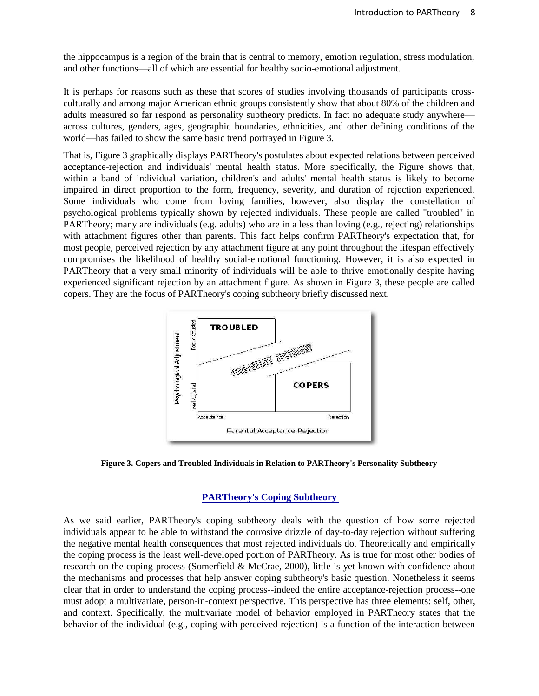the hippocampus is a region of the brain that is central to memory, emotion regulation, stress modulation, and other functions—all of which are essential for healthy socio-emotional adjustment.

It is perhaps for reasons such as these that scores of studies involving thousands of participants crossculturally and among major American ethnic groups consistently show that about 80% of the children and adults measured so far respond as personality subtheory predicts. In fact no adequate study anywhere across cultures, genders, ages, geographic boundaries, ethnicities, and other defining conditions of the world—has failed to show the same basic trend portrayed in Figure 3.

That is, Figure 3 graphically displays PARTheory's postulates about expected relations between perceived acceptance-rejection and individuals' mental health status. More specifically, the Figure shows that, within a band of individual variation, children's and adults' mental health status is likely to become impaired in direct proportion to the form, frequency, severity, and duration of rejection experienced. Some individuals who come from loving families, however, also display the constellation of psychological problems typically shown by rejected individuals. These people are called "troubled" in PARTheory; many are individuals (e.g. adults) who are in a less than loving (e.g., rejecting) relationships with attachment figures other than parents. This fact helps confirm PARTheory's expectation that, for most people, perceived rejection by any attachment figure at any point throughout the lifespan effectively compromises the likelihood of healthy social-emotional functioning. However, it is also expected in PARTheory that a very small minority of individuals will be able to thrive emotionally despite having experienced significant rejection by an attachment figure. As shown in Figure 3, these people are called copers. They are the focus of PARTheory's coping subtheory briefly discussed next.



**Figure 3. Copers and Troubled Individuals in Relation to PARTheory's Personality Subtheory** 

#### **PARTheory's Coping Subtheory**

As we said earlier, PARTheory's coping subtheory deals with the question of how some rejected individuals appear to be able to withstand the corrosive drizzle of day-to-day rejection without suffering the negative mental health consequences that most rejected individuals do. Theoretically and empirically the coping process is the least well-developed portion of PARTheory. As is true for most other bodies of research on the coping process (Somerfield & McCrae, 2000), little is yet known with confidence about the mechanisms and processes that help answer coping subtheory's basic question. Nonetheless it seems clear that in order to understand the coping process--indeed the entire acceptance-rejection process--one must adopt a multivariate, person-in-context perspective. This perspective has three elements: self, other, and context. Specifically, the multivariate model of behavior employed in PARTheory states that the behavior of the individual (e.g., coping with perceived rejection) is a function of the interaction between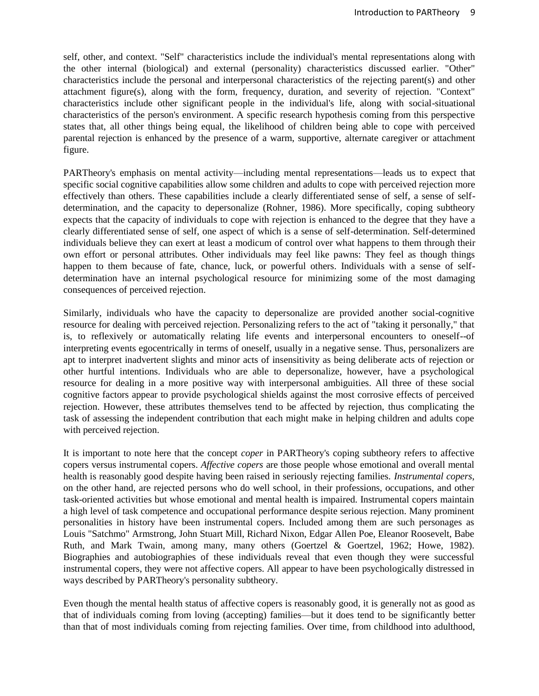self, other, and context. "Self" characteristics include the individual's mental representations along with the other internal (biological) and external (personality) characteristics discussed earlier. "Other" characteristics include the personal and interpersonal characteristics of the rejecting parent(s) and other attachment figure(s), along with the form, frequency, duration, and severity of rejection. "Context" characteristics include other significant people in the individual's life, along with social-situational characteristics of the person's environment. A specific research hypothesis coming from this perspective states that, all other things being equal, the likelihood of children being able to cope with perceived parental rejection is enhanced by the presence of a warm, supportive, alternate caregiver or attachment figure.

PARTheory's emphasis on mental activity—including mental representations—leads us to expect that specific social cognitive capabilities allow some children and adults to cope with perceived rejection more effectively than others. These capabilities include a clearly differentiated sense of self, a sense of selfdetermination, and the capacity to depersonalize (Rohner, 1986). More specifically, coping subtheory expects that the capacity of individuals to cope with rejection is enhanced to the degree that they have a clearly differentiated sense of self, one aspect of which is a sense of self-determination. Self-determined individuals believe they can exert at least a modicum of control over what happens to them through their own effort or personal attributes. Other individuals may feel like pawns: They feel as though things happen to them because of fate, chance, luck, or powerful others. Individuals with a sense of selfdetermination have an internal psychological resource for minimizing some of the most damaging consequences of perceived rejection.

Similarly, individuals who have the capacity to depersonalize are provided another social-cognitive resource for dealing with perceived rejection. Personalizing refers to the act of "taking it personally," that is, to reflexively or automatically relating life events and interpersonal encounters to oneself--of interpreting events egocentrically in terms of oneself, usually in a negative sense. Thus, personalizers are apt to interpret inadvertent slights and minor acts of insensitivity as being deliberate acts of rejection or other hurtful intentions. Individuals who are able to depersonalize, however, have a psychological resource for dealing in a more positive way with interpersonal ambiguities. All three of these social cognitive factors appear to provide psychological shields against the most corrosive effects of perceived rejection. However, these attributes themselves tend to be affected by rejection, thus complicating the task of assessing the independent contribution that each might make in helping children and adults cope with perceived rejection.

It is important to note here that the concept *coper* in PARTheory's coping subtheory refers to affective copers versus instrumental copers. *Affective copers* are those people whose emotional and overall mental health is reasonably good despite having been raised in seriously rejecting families. *Instrumental copers*, on the other hand, are rejected persons who do well school, in their professions, occupations, and other task-oriented activities but whose emotional and mental health is impaired. Instrumental copers maintain a high level of task competence and occupational performance despite serious rejection. Many prominent personalities in history have been instrumental copers. Included among them are such personages as Louis "Satchmo" Armstrong, John Stuart Mill, Richard Nixon, Edgar Allen Poe, Eleanor Roosevelt, Babe Ruth, and Mark Twain, among many, many others (Goertzel & Goertzel, 1962; Howe, 1982). Biographies and autobiographies of these individuals reveal that even though they were successful instrumental copers, they were not affective copers. All appear to have been psychologically distressed in ways described by PARTheory's personality subtheory.

Even though the mental health status of affective copers is reasonably good, it is generally not as good as that of individuals coming from loving (accepting) families—but it does tend to be significantly better than that of most individuals coming from rejecting families. Over time, from childhood into adulthood,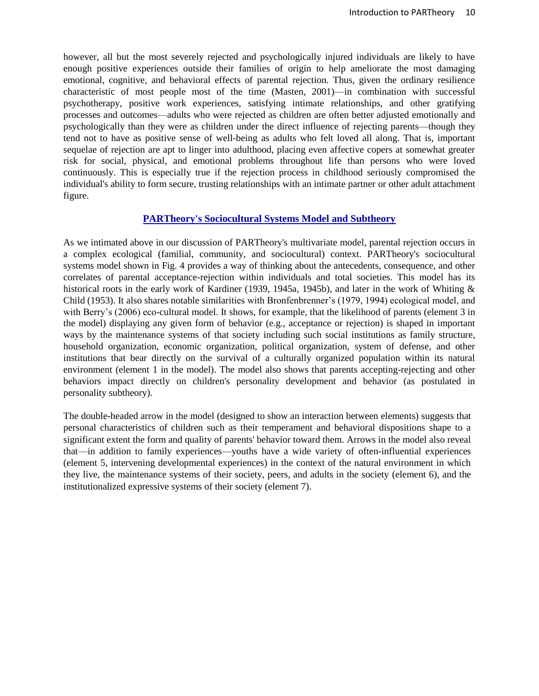however, all but the most severely rejected and psychologically injured individuals are likely to have enough positive experiences outside their families of origin to help ameliorate the most damaging emotional, cognitive, and behavioral effects of parental rejection. Thus, given the ordinary resilience characteristic of most people most of the time (Masten, 2001)—in combination with successful psychotherapy, positive work experiences, satisfying intimate relationships, and other gratifying processes and outcomes—adults who were rejected as children are often better adjusted emotionally and psychologically than they were as children under the direct influence of rejecting parents—though they tend not to have as positive sense of well-being as adults who felt loved all along. That is, important sequelae of rejection are apt to linger into adulthood, placing even affective copers at somewhat greater risk for social, physical, and emotional problems throughout life than persons who were loved continuously. This is especially true if the rejection process in childhood seriously compromised the individual's ability to form secure, trusting relationships with an intimate partner or other adult attachment figure.

## **PARTheory's Sociocultural Systems Model and Subtheory**

As we intimated above in our discussion of PARTheory's multivariate model, parental rejection occurs in a complex ecological (familial, community, and sociocultural) context. PARTheory's sociocultural systems model shown in Fig. 4 provides a way of thinking about the antecedents, consequence, and other correlates of parental acceptance-rejection within individuals and total societies. This model has its historical roots in the early work of Kardiner (1939, 1945a, 1945b), and later in the work of Whiting & Child (1953). It also shares notable similarities with Bronfenbrenner's (1979, 1994) ecological model, and with Berry's (2006) eco-cultural model. It shows, for example, that the likelihood of parents (element 3 in the model) displaying any given form of behavior (e.g., acceptance or rejection) is shaped in important ways by the maintenance systems of that society including such social institutions as family structure, household organization, economic organization, political organization, system of defense, and other institutions that bear directly on the survival of a culturally organized population within its natural environment (element 1 in the model). The model also shows that parents accepting-rejecting and other behaviors impact directly on children's personality development and behavior (as postulated in personality subtheory).

The double-headed arrow in the model (designed to show an interaction between elements) suggests that personal characteristics of children such as their temperament and behavioral dispositions shape to a significant extent the form and quality of parents' behavior toward them. Arrows in the model also reveal that—in addition to family experiences—youths have a wide variety of often-influential experiences (element 5, intervening developmental experiences) in the context of the natural environment in which they live, the maintenance systems of their society, peers, and adults in the society (element 6), and the institutionalized expressive systems of their society (element 7).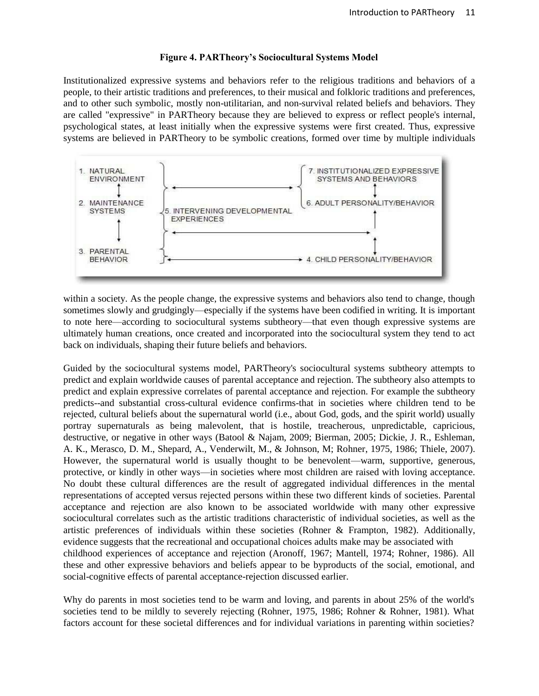#### **Figure 4. PARTheory's Sociocultural Systems Model**

Institutionalized expressive systems and behaviors refer to the religious traditions and behaviors of a people, to their artistic traditions and preferences, to their musical and folkloric traditions and preferences, and to other such symbolic, mostly non-utilitarian, and non-survival related beliefs and behaviors. They are called "expressive" in PARTheory because they are believed to express or reflect people's internal, psychological states, at least initially when the expressive systems were first created. Thus, expressive systems are believed in PARTheory to be symbolic creations, formed over time by multiple individuals



within a society. As the people change, the expressive systems and behaviors also tend to change, though sometimes slowly and grudgingly—especially if the systems have been codified in writing. It is important to note here—according to sociocultural systems subtheory—that even though expressive systems are ultimately human creations, once created and incorporated into the sociocultural system they tend to act back on individuals, shaping their future beliefs and behaviors.

Guided by the sociocultural systems model, PARTheory's sociocultural systems subtheory attempts to predict and explain worldwide causes of parental acceptance and rejection. The subtheory also attempts to predict and explain expressive correlates of parental acceptance and rejection. For example the subtheory predicts--and substantial cross-cultural evidence confirms-that in societies where children tend to be rejected, cultural beliefs about the supernatural world (i.e., about God, gods, and the spirit world) usually portray supernaturals as being malevolent, that is hostile, treacherous, unpredictable, capricious, destructive, or negative in other ways (Batool & Najam, 2009; Bierman, 2005; Dickie, J. R., Eshleman, A. K., Merasco, D. M., Shepard, A., Venderwilt, M., & Johnson, M; Rohner, 1975, 1986; Thiele, 2007). However, the supernatural world is usually thought to be benevolent—warm, supportive, generous, protective, or kindly in other ways—in societies where most children are raised with loving acceptance. No doubt these cultural differences are the result of aggregated individual differences in the mental representations of accepted versus rejected persons within these two different kinds of societies. Parental acceptance and rejection are also known to be associated worldwide with many other expressive sociocultural correlates such as the artistic traditions characteristic of individual societies, as well as the artistic preferences of individuals within these societies (Rohner & Frampton, 1982). Additionally, evidence suggests that the recreational and occupational choices adults make may be associated with childhood experiences of acceptance and rejection (Aronoff, 1967; Mantell, 1974; Rohner, 1986). All these and other expressive behaviors and beliefs appear to be byproducts of the social, emotional, and social-cognitive effects of parental acceptance-rejection discussed earlier.

Why do parents in most societies tend to be warm and loving, and parents in about 25% of the world's societies tend to be mildly to severely rejecting (Rohner, 1975, 1986; Rohner & Rohner, 1981). What factors account for these societal differences and for individual variations in parenting within societies?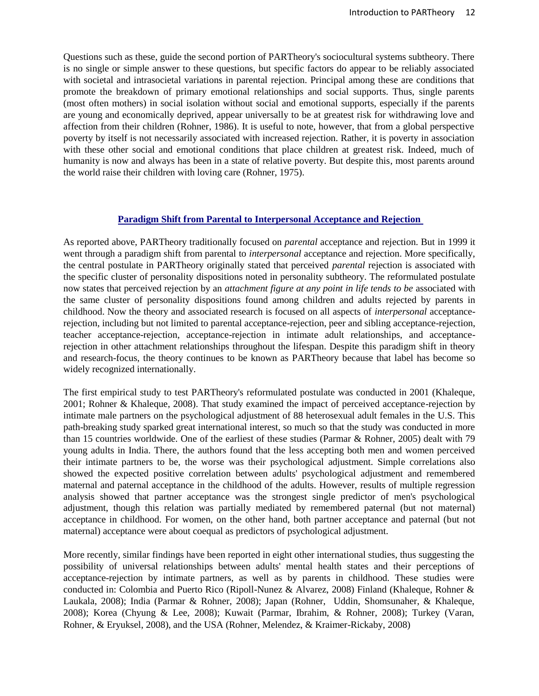Questions such as these, guide the second portion of PARTheory's sociocultural systems subtheory. There is no single or simple answer to these questions, but specific factors do appear to be reliably associated with societal and intrasocietal variations in parental rejection. Principal among these are conditions that promote the breakdown of primary emotional relationships and social supports. Thus, single parents (most often mothers) in social isolation without social and emotional supports, especially if the parents are young and economically deprived, appear universally to be at greatest risk for withdrawing love and affection from their children (Rohner, 1986). It is useful to note, however, that from a global perspective poverty by itself is not necessarily associated with increased rejection. Rather, it is poverty in association with these other social and emotional conditions that place children at greatest risk. Indeed, much of humanity is now and always has been in a state of relative poverty. But despite this, most parents around the world raise their children with loving care (Rohner, 1975).

## **Paradigm Shift from Parental to Interpersonal Acceptance and Rejection**

As reported above, PARTheory traditionally focused on *parental* acceptance and rejection. But in 1999 it went through a paradigm shift from parental to *interpersonal* acceptance and rejection. More specifically, the central postulate in PARTheory originally stated that perceived *parental* rejection is associated with the specific cluster of personality dispositions noted in personality subtheory. The reformulated postulate now states that perceived rejection by an *attachment figure at any point in life tends to be* associated with the same cluster of personality dispositions found among children and adults rejected by parents in childhood. Now the theory and associated research is focused on all aspects of *interpersonal* acceptancerejection, including but not limited to parental acceptance-rejection, peer and sibling acceptance-rejection, teacher acceptance-rejection, acceptance-rejection in intimate adult relationships, and acceptancerejection in other attachment relationships throughout the lifespan. Despite this paradigm shift in theory and research-focus, the theory continues to be known as PARTheory because that label has become so widely recognized internationally.

The first empirical study to test PARTheory's reformulated postulate was conducted in 2001 (Khaleque, 2001; Rohner & Khaleque, 2008). That study examined the impact of perceived acceptance-rejection by intimate male partners on the psychological adjustment of 88 heterosexual adult females in the U.S. This path-breaking study sparked great international interest, so much so that the study was conducted in more than 15 countries worldwide. One of the earliest of these studies (Parmar & Rohner, 2005) dealt with 79 young adults in India. There, the authors found that the less accepting both men and women perceived their intimate partners to be, the worse was their psychological adjustment. Simple correlations also showed the expected positive correlation between adults' psychological adjustment and remembered maternal and paternal acceptance in the childhood of the adults. However, results of multiple regression analysis showed that partner acceptance was the strongest single predictor of men's psychological adjustment, though this relation was partially mediated by remembered paternal (but not maternal) acceptance in childhood. For women, on the other hand, both partner acceptance and paternal (but not maternal) acceptance were about coequal as predictors of psychological adjustment.

More recently, similar findings have been reported in eight other international studies, thus suggesting the possibility of universal relationships between adults' mental health states and their perceptions of acceptance-rejection by intimate partners, as well as by parents in childhood. These studies were conducted in: Colombia and Puerto Rico (Ripoll-Nunez & Alvarez, 2008) Finland (Khaleque, Rohner & Laukala, 2008); India (Parmar & Rohner, 2008); Japan (Rohner, Uddin, Shomsunaher, & Khaleque, 2008); Korea (Chyung & Lee, 2008); Kuwait (Parmar, Ibrahim, & Rohner, 2008); Turkey (Varan, Rohner, & Eryuksel, 2008), and the USA (Rohner, Melendez, & Kraimer-Rickaby, 2008)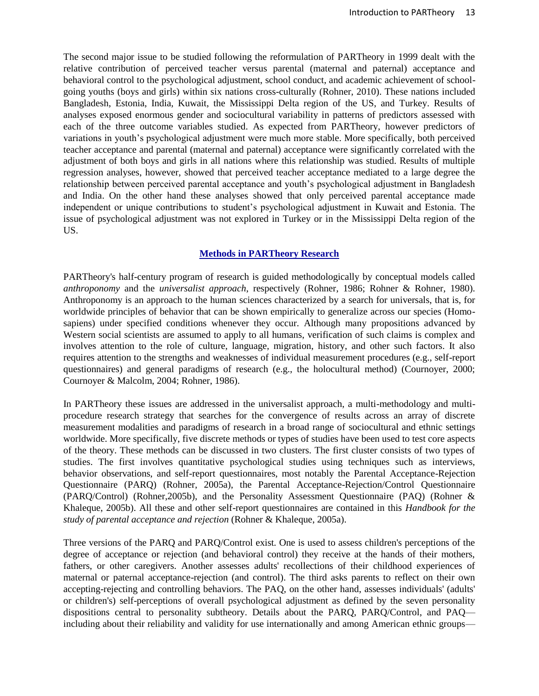The second major issue to be studied following the reformulation of PARTheory in 1999 dealt with the relative contribution of perceived teacher versus parental (maternal and paternal) acceptance and behavioral control to the psychological adjustment, school conduct, and academic achievement of schoolgoing youths (boys and girls) within six nations cross-culturally (Rohner, 2010). These nations included Bangladesh, Estonia, India, Kuwait, the Mississippi Delta region of the US, and Turkey. Results of analyses exposed enormous gender and sociocultural variability in patterns of predictors assessed with each of the three outcome variables studied. As expected from PARTheory, however predictors of variations in youth's psychological adjustment were much more stable. More specifically, both perceived teacher acceptance and parental (maternal and paternal) acceptance were significantly correlated with the adjustment of both boys and girls in all nations where this relationship was studied. Results of multiple regression analyses, however, showed that perceived teacher acceptance mediated to a large degree the relationship between perceived parental acceptance and youth's psychological adjustment in Bangladesh and India. On the other hand these analyses showed that only perceived parental acceptance made independent or unique contributions to student's psychological adjustment in Kuwait and Estonia. The issue of psychological adjustment was not explored in Turkey or in the Mississippi Delta region of the US.

#### **Methods in PARTheory Research**

PARTheory's half-century program of research is guided methodologically by conceptual models called *anthroponomy* and the *universalist approach*, respectively (Rohner, 1986; Rohner & Rohner, 1980). Anthroponomy is an approach to the human sciences characterized by a search for universals, that is, for worldwide principles of behavior that can be shown empirically to generalize across our species (Homosapiens) under specified conditions whenever they occur. Although many propositions advanced by Western social scientists are assumed to apply to all humans, verification of such claims is complex and involves attention to the role of culture, language, migration, history, and other such factors. It also requires attention to the strengths and weaknesses of individual measurement procedures (e.g., self-report questionnaires) and general paradigms of research (e.g., the holocultural method) (Cournoyer, 2000; Cournoyer & Malcolm, 2004; Rohner, 1986).

In PARTheory these issues are addressed in the universalist approach, a multi-methodology and multiprocedure research strategy that searches for the convergence of results across an array of discrete measurement modalities and paradigms of research in a broad range of sociocultural and ethnic settings worldwide. More specifically, five discrete methods or types of studies have been used to test core aspects of the theory. These methods can be discussed in two clusters. The first cluster consists of two types of studies. The first involves quantitative psychological studies using techniques such as interviews, behavior observations, and self-report questionnaires, most notably the Parental Acceptance-Rejection Questionnaire (PARQ) (Rohner, 2005a), the Parental Acceptance-Rejection/Control Questionnaire (PARQ/Control) (Rohner,2005b), and the Personality Assessment Questionnaire (PAQ) (Rohner & Khaleque, 2005b). All these and other self-report questionnaires are contained in this *Handbook for the study of parental acceptance and rejection* (Rohner & Khaleque, 2005a).

Three versions of the PARQ and PARQ/Control exist. One is used to assess children's perceptions of the degree of acceptance or rejection (and behavioral control) they receive at the hands of their mothers, fathers, or other caregivers. Another assesses adults' recollections of their childhood experiences of maternal or paternal acceptance-rejection (and control). The third asks parents to reflect on their own accepting-rejecting and controlling behaviors. The PAQ, on the other hand, assesses individuals' (adults' or children's) self-perceptions of overall psychological adjustment as defined by the seven personality dispositions central to personality subtheory. Details about the PARQ, PARQ/Control, and PAQ including about their reliability and validity for use internationally and among American ethnic groups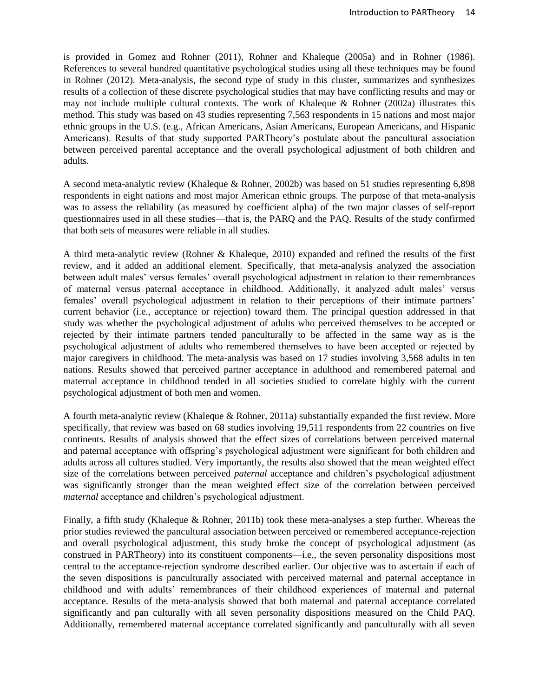is provided in Gomez and Rohner (2011), Rohner and Khaleque (2005a) and in Rohner (1986). References to several hundred quantitative psychological studies using all these techniques may be found in Rohner (2012). Meta-analysis, the second type of study in this cluster, summarizes and synthesizes results of a collection of these discrete psychological studies that may have conflicting results and may or may not include multiple cultural contexts. The work of Khaleque & Rohner (2002a) illustrates this method. This study was based on 43 studies representing 7,563 respondents in 15 nations and most major ethnic groups in the U.S. (e.g., African Americans, Asian Americans, European Americans, and Hispanic Americans). Results of that study supported PARTheory's postulate about the pancultural association between perceived parental acceptance and the overall psychological adjustment of both children and adults.

A second meta-analytic review (Khaleque & Rohner, 2002b) was based on 51 studies representing 6,898 respondents in eight nations and most major American ethnic groups. The purpose of that meta-analysis was to assess the reliability (as measured by coefficient alpha) of the two major classes of self-report questionnaires used in all these studies—that is, the PARQ and the PAQ. Results of the study confirmed that both sets of measures were reliable in all studies.

A third meta-analytic review (Rohner & Khaleque, 2010) expanded and refined the results of the first review, and it added an additional element. Specifically, that meta-analysis analyzed the association between adult males' versus females' overall psychological adjustment in relation to their remembrances of maternal versus paternal acceptance in childhood. Additionally, it analyzed adult males' versus females' overall psychological adjustment in relation to their perceptions of their intimate partners' current behavior (i.e., acceptance or rejection) toward them. The principal question addressed in that study was whether the psychological adjustment of adults who perceived themselves to be accepted or rejected by their intimate partners tended panculturally to be affected in the same way as is the psychological adjustment of adults who remembered themselves to have been accepted or rejected by major caregivers in childhood. The meta-analysis was based on 17 studies involving 3,568 adults in ten nations. Results showed that perceived partner acceptance in adulthood and remembered paternal and maternal acceptance in childhood tended in all societies studied to correlate highly with the current psychological adjustment of both men and women.

A fourth meta-analytic review (Khaleque & Rohner, 2011a) substantially expanded the first review. More specifically, that review was based on 68 studies involving 19,511 respondents from 22 countries on five continents. Results of analysis showed that the effect sizes of correlations between perceived maternal and paternal acceptance with offspring's psychological adjustment were significant for both children and adults across all cultures studied. Very importantly, the results also showed that the mean weighted effect size of the correlations between perceived *paternal* acceptance and children's psychological adjustment was significantly stronger than the mean weighted effect size of the correlation between perceived *maternal* acceptance and children's psychological adjustment.

Finally, a fifth study (Khaleque & Rohner, 2011b) took these meta-analyses a step further. Whereas the prior studies reviewed the pancultural association between perceived or remembered acceptance-rejection and overall psychological adjustment, this study broke the concept of psychological adjustment (as construed in PARTheory) into its constituent components—i.e., the seven personality dispositions most central to the acceptance-rejection syndrome described earlier. Our objective was to ascertain if each of the seven dispositions is panculturally associated with perceived maternal and paternal acceptance in childhood and with adults' remembrances of their childhood experiences of maternal and paternal acceptance. Results of the meta-analysis showed that both maternal and paternal acceptance correlated significantly and pan culturally with all seven personality dispositions measured on the Child PAQ. Additionally, remembered maternal acceptance correlated significantly and panculturally with all seven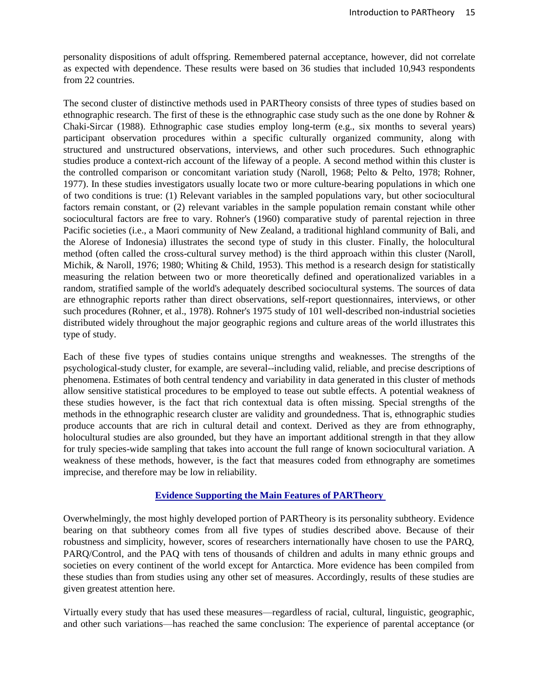personality dispositions of adult offspring. Remembered paternal acceptance, however, did not correlate as expected with dependence. These results were based on 36 studies that included 10,943 respondents from 22 countries.

The second cluster of distinctive methods used in PARTheory consists of three types of studies based on ethnographic research. The first of these is the ethnographic case study such as the one done by Rohner & Chaki-Sircar (1988). Ethnographic case studies employ long-term (e.g., six months to several years) participant observation procedures within a specific culturally organized community, along with structured and unstructured observations, interviews, and other such procedures. Such ethnographic studies produce a context-rich account of the lifeway of a people. A second method within this cluster is the controlled comparison or concomitant variation study (Naroll, 1968; Pelto & Pelto, 1978; Rohner, 1977). In these studies investigators usually locate two or more culture-bearing populations in which one of two conditions is true: (1) Relevant variables in the sampled populations vary, but other sociocultural factors remain constant, or (2) relevant variables in the sample population remain constant while other sociocultural factors are free to vary. Rohner's (1960) comparative study of parental rejection in three Pacific societies (i.e., a Maori community of New Zealand, a traditional highland community of Bali, and the Alorese of Indonesia) illustrates the second type of study in this cluster. Finally, the holocultural method (often called the cross-cultural survey method) is the third approach within this cluster (Naroll, Michik, & Naroll, 1976; 1980; Whiting & Child, 1953). This method is a research design for statistically measuring the relation between two or more theoretically defined and operationalized variables in a random, stratified sample of the world's adequately described sociocultural systems. The sources of data are ethnographic reports rather than direct observations, self-report questionnaires, interviews, or other such procedures (Rohner, et al., 1978). Rohner's 1975 study of 101 well-described non-industrial societies distributed widely throughout the major geographic regions and culture areas of the world illustrates this type of study.

Each of these five types of studies contains unique strengths and weaknesses. The strengths of the psychological-study cluster, for example, are several--including valid, reliable, and precise descriptions of phenomena. Estimates of both central tendency and variability in data generated in this cluster of methods allow sensitive statistical procedures to be employed to tease out subtle effects. A potential weakness of these studies however, is the fact that rich contextual data is often missing. Special strengths of the methods in the ethnographic research cluster are validity and groundedness. That is, ethnographic studies produce accounts that are rich in cultural detail and context. Derived as they are from ethnography, holocultural studies are also grounded, but they have an important additional strength in that they allow for truly species-wide sampling that takes into account the full range of known sociocultural variation. A weakness of these methods, however, is the fact that measures coded from ethnography are sometimes imprecise, and therefore may be low in reliability.

## **Evidence Supporting the Main Features of PARTheory**

Overwhelmingly, the most highly developed portion of PARTheory is its personality subtheory. Evidence bearing on that subtheory comes from all five types of studies described above. Because of their robustness and simplicity, however, scores of researchers internationally have chosen to use the PARQ, PARQ/Control, and the PAQ with tens of thousands of children and adults in many ethnic groups and societies on every continent of the world except for Antarctica. More evidence has been compiled from these studies than from studies using any other set of measures. Accordingly, results of these studies are given greatest attention here.

Virtually every study that has used these measures—regardless of racial, cultural, linguistic, geographic, and other such variations—has reached the same conclusion: The experience of parental acceptance (or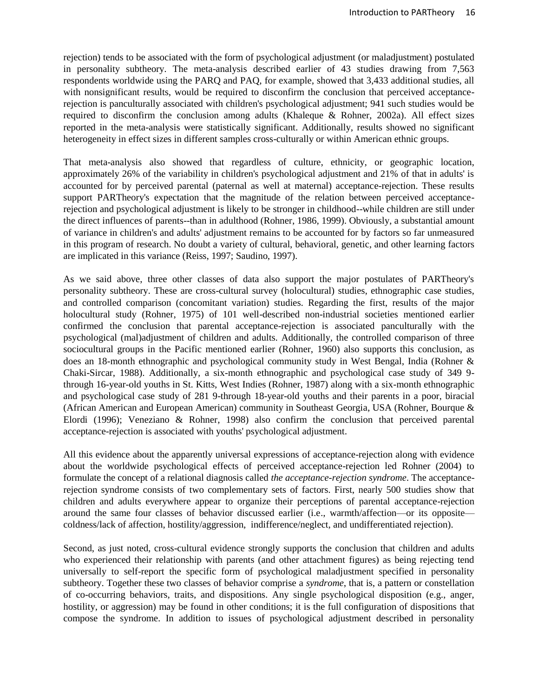rejection) tends to be associated with the form of psychological adjustment (or maladjustment) postulated in personality subtheory. The meta-analysis described earlier of 43 studies drawing from 7,563 respondents worldwide using the PARQ and PAQ, for example, showed that 3,433 additional studies, all with nonsignificant results, would be required to disconfirm the conclusion that perceived acceptancerejection is panculturally associated with children's psychological adjustment; 941 such studies would be required to disconfirm the conclusion among adults (Khaleque & Rohner, 2002a). All effect sizes reported in the meta-analysis were statistically significant. Additionally, results showed no significant heterogeneity in effect sizes in different samples cross-culturally or within American ethnic groups.

That meta-analysis also showed that regardless of culture, ethnicity, or geographic location, approximately 26% of the variability in children's psychological adjustment and 21% of that in adults' is accounted for by perceived parental (paternal as well at maternal) acceptance-rejection. These results support PARTheory's expectation that the magnitude of the relation between perceived acceptancerejection and psychological adjustment is likely to be stronger in childhood--while children are still under the direct influences of parents--than in adulthood (Rohner, 1986, 1999). Obviously, a substantial amount of variance in children's and adults' adjustment remains to be accounted for by factors so far unmeasured in this program of research. No doubt a variety of cultural, behavioral, genetic, and other learning factors are implicated in this variance (Reiss, 1997; Saudino, 1997).

As we said above, three other classes of data also support the major postulates of PARTheory's personality subtheory. These are cross-cultural survey (holocultural) studies, ethnographic case studies, and controlled comparison (concomitant variation) studies. Regarding the first, results of the major holocultural study (Rohner, 1975) of 101 well-described non-industrial societies mentioned earlier confirmed the conclusion that parental acceptance-rejection is associated panculturally with the psychological (mal)adjustment of children and adults. Additionally, the controlled comparison of three sociocultural groups in the Pacific mentioned earlier (Rohner, 1960) also supports this conclusion, as does an 18-month ethnographic and psychological community study in West Bengal, India (Rohner & Chaki-Sircar, 1988). Additionally, a six-month ethnographic and psychological case study of 349 9 through 16-year-old youths in St. Kitts, West Indies (Rohner, 1987) along with a six-month ethnographic and psychological case study of 281 9-through 18-year-old youths and their parents in a poor, biracial (African American and European American) community in Southeast Georgia, USA (Rohner, Bourque & Elordi (1996); Veneziano & Rohner, 1998) also confirm the conclusion that perceived parental acceptance-rejection is associated with youths' psychological adjustment.

All this evidence about the apparently universal expressions of acceptance-rejection along with evidence about the worldwide psychological effects of perceived acceptance-rejection led Rohner (2004) to formulate the concept of a relational diagnosis called *the acceptance-rejection syndrome*. The acceptancerejection syndrome consists of two complementary sets of factors. First, nearly 500 studies show that children and adults everywhere appear to organize their perceptions of parental acceptance-rejection around the same four classes of behavior discussed earlier (i.e., warmth/affection—or its opposite coldness/lack of affection, hostility/aggression, indifference/neglect, and undifferentiated rejection).

Second, as just noted, cross-cultural evidence strongly supports the conclusion that children and adults who experienced their relationship with parents (and other attachment figures) as being rejecting tend universally to self-report the specific form of psychological maladjustment specified in personality subtheory. Together these two classes of behavior comprise a *syndrome*, that is, a pattern or constellation of co-occurring behaviors, traits, and dispositions. Any single psychological disposition (e.g., anger, hostility, or aggression) may be found in other conditions; it is the full configuration of dispositions that compose the syndrome. In addition to issues of psychological adjustment described in personality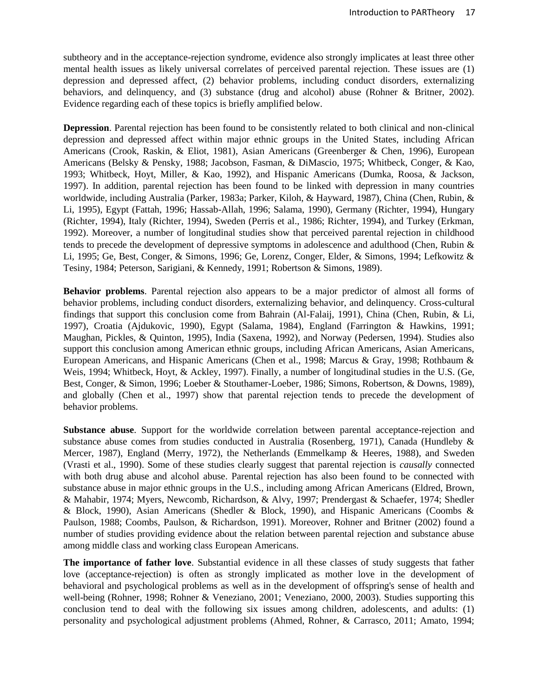subtheory and in the acceptance-rejection syndrome, evidence also strongly implicates at least three other mental health issues as likely universal correlates of perceived parental rejection. These issues are (1) depression and depressed affect, (2) behavior problems, including conduct disorders, externalizing behaviors, and delinquency, and (3) substance (drug and alcohol) abuse (Rohner & Britner, 2002). Evidence regarding each of these topics is briefly amplified below.

**Depression**. Parental rejection has been found to be consistently related to both clinical and non-clinical depression and depressed affect within major ethnic groups in the United States, including African Americans (Crook, Raskin, & Eliot, 1981), Asian Americans (Greenberger & Chen, 1996), European Americans (Belsky & Pensky, 1988; Jacobson, Fasman, & DiMascio, 1975; Whitbeck, Conger, & Kao, 1993; Whitbeck, Hoyt, Miller, & Kao, 1992), and Hispanic Americans (Dumka, Roosa, & Jackson, 1997). In addition, parental rejection has been found to be linked with depression in many countries worldwide, including Australia (Parker, 1983a; Parker, Kiloh, & Hayward, 1987), China (Chen, Rubin, & Li, 1995), Egypt (Fattah, 1996; Hassab-Allah, 1996; Salama, 1990), Germany (Richter, 1994), Hungary (Richter, 1994), Italy (Richter, 1994), Sweden (Perris et al., 1986; Richter, 1994), and Turkey (Erkman, 1992). Moreover, a number of longitudinal studies show that perceived parental rejection in childhood tends to precede the development of depressive symptoms in adolescence and adulthood (Chen, Rubin & Li, 1995; Ge, Best, Conger, & Simons, 1996; Ge, Lorenz, Conger, Elder, & Simons, 1994; Lefkowitz & Tesiny, 1984; Peterson, Sarigiani, & Kennedy, 1991; Robertson & Simons, 1989).

**Behavior problems**. Parental rejection also appears to be a major predictor of almost all forms of behavior problems, including conduct disorders, externalizing behavior, and delinquency. Cross-cultural findings that support this conclusion come from Bahrain (Al-Falaij, 1991), China (Chen, Rubin, & Li, 1997), Croatia (Ajdukovic, 1990), Egypt (Salama, 1984), England (Farrington & Hawkins, 1991; Maughan, Pickles, & Quinton, 1995), India (Saxena, 1992), and Norway (Pedersen, 1994). Studies also support this conclusion among American ethnic groups, including African Americans, Asian Americans, European Americans, and Hispanic Americans (Chen et al., 1998; Marcus & Gray, 1998; Rothbaum & Weis, 1994; Whitbeck, Hoyt, & Ackley, 1997). Finally, a number of longitudinal studies in the U.S. (Ge, Best, Conger, & Simon, 1996; Loeber & Stouthamer-Loeber, 1986; Simons, Robertson, & Downs, 1989), and globally (Chen et al., 1997) show that parental rejection tends to precede the development of behavior problems.

**Substance abuse**. Support for the worldwide correlation between parental acceptance-rejection and substance abuse comes from studies conducted in Australia (Rosenberg, 1971), Canada (Hundleby & Mercer, 1987), England (Merry, 1972), the Netherlands (Emmelkamp & Heeres, 1988), and Sweden (Vrasti et al., 1990). Some of these studies clearly suggest that parental rejection is *causally* connected with both drug abuse and alcohol abuse. Parental rejection has also been found to be connected with substance abuse in major ethnic groups in the U.S., including among African Americans (Eldred, Brown, & Mahabir, 1974; Myers, Newcomb, Richardson, & Alvy, 1997; Prendergast & Schaefer, 1974; Shedler & Block, 1990), Asian Americans (Shedler & Block, 1990), and Hispanic Americans (Coombs & Paulson, 1988; Coombs, Paulson, & Richardson, 1991). Moreover, Rohner and Britner (2002) found a number of studies providing evidence about the relation between parental rejection and substance abuse among middle class and working class European Americans.

**The importance of father love**. Substantial evidence in all these classes of study suggests that father love (acceptance-rejection) is often as strongly implicated as mother love in the development of behavioral and psychological problems as well as in the development of offspring's sense of health and well-being (Rohner, 1998; Rohner & Veneziano, 2001; Veneziano, 2000, 2003). Studies supporting this conclusion tend to deal with the following six issues among children, adolescents, and adults: (1) personality and psychological adjustment problems (Ahmed, Rohner, & Carrasco, 2011; Amato, 1994;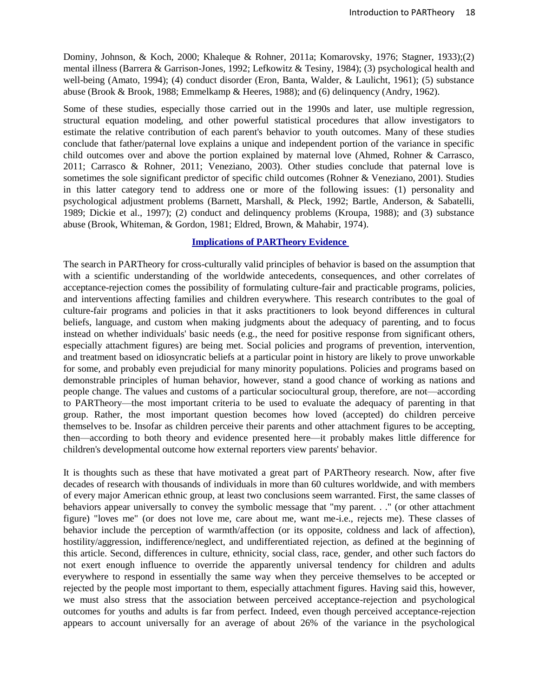Dominy, Johnson, & Koch, 2000; Khaleque & Rohner, 2011a; Komarovsky, 1976; Stagner, 1933);(2) mental illness (Barrera & Garrison-Jones, 1992; Lefkowitz & Tesiny, 1984); (3) psychological health and well-being (Amato, 1994); (4) conduct disorder (Eron, Banta, Walder, & Laulicht, 1961); (5) substance abuse (Brook & Brook, 1988; Emmelkamp & Heeres, 1988); and (6) delinquency (Andry, 1962).

Some of these studies, especially those carried out in the 1990s and later, use multiple regression, structural equation modeling, and other powerful statistical procedures that allow investigators to estimate the relative contribution of each parent's behavior to youth outcomes. Many of these studies conclude that father/paternal love explains a unique and independent portion of the variance in specific child outcomes over and above the portion explained by maternal love (Ahmed, Rohner & Carrasco, 2011; Carrasco & Rohner, 2011; Veneziano, 2003). Other studies conclude that paternal love is sometimes the sole significant predictor of specific child outcomes (Rohner & Veneziano, 2001). Studies in this latter category tend to address one or more of the following issues: (1) personality and psychological adjustment problems (Barnett, Marshall, & Pleck, 1992; Bartle, Anderson, & Sabatelli, 1989; Dickie et al., 1997); (2) conduct and delinquency problems (Kroupa, 1988); and (3) substance abuse (Brook, Whiteman, & Gordon, 1981; Eldred, Brown, & Mahabir, 1974).

## **Implications of PARTheory Evidence**

The search in PARTheory for cross-culturally valid principles of behavior is based on the assumption that with a scientific understanding of the worldwide antecedents, consequences, and other correlates of acceptance-rejection comes the possibility of formulating culture-fair and practicable programs, policies, and interventions affecting families and children everywhere. This research contributes to the goal of culture-fair programs and policies in that it asks practitioners to look beyond differences in cultural beliefs, language, and custom when making judgments about the adequacy of parenting, and to focus instead on whether individuals' basic needs (e.g., the need for positive response from significant others, especially attachment figures) are being met. Social policies and programs of prevention, intervention, and treatment based on idiosyncratic beliefs at a particular point in history are likely to prove unworkable for some, and probably even prejudicial for many minority populations. Policies and programs based on demonstrable principles of human behavior, however, stand a good chance of working as nations and people change. The values and customs of a particular sociocultural group, therefore, are not—according to PARTheory—the most important criteria to be used to evaluate the adequacy of parenting in that group. Rather, the most important question becomes how loved (accepted) do children perceive themselves to be. Insofar as children perceive their parents and other attachment figures to be accepting, then—according to both theory and evidence presented here—it probably makes little difference for children's developmental outcome how external reporters view parents' behavior.

It is thoughts such as these that have motivated a great part of PARTheory research. Now, after five decades of research with thousands of individuals in more than 60 cultures worldwide, and with members of every major American ethnic group, at least two conclusions seem warranted. First, the same classes of behaviors appear universally to convey the symbolic message that "my parent. . ." (or other attachment figure) "loves me" (or does not love me, care about me, want me-i.e., rejects me). These classes of behavior include the perception of warmth/affection (or its opposite, coldness and lack of affection), hostility/aggression, indifference/neglect, and undifferentiated rejection, as defined at the beginning of this article. Second, differences in culture, ethnicity, social class, race, gender, and other such factors do not exert enough influence to override the apparently universal tendency for children and adults everywhere to respond in essentially the same way when they perceive themselves to be accepted or rejected by the people most important to them, especially attachment figures. Having said this, however, we must also stress that the association between perceived acceptance-rejection and psychological outcomes for youths and adults is far from perfect. Indeed, even though perceived acceptance-rejection appears to account universally for an average of about 26% of the variance in the psychological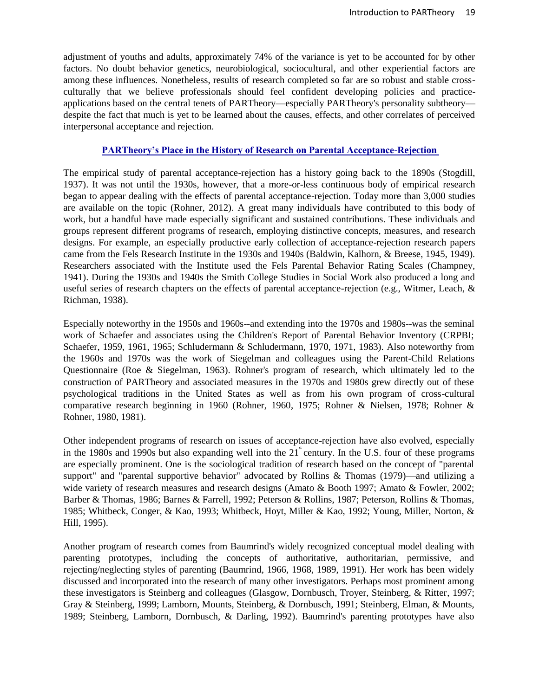adjustment of youths and adults, approximately 74% of the variance is yet to be accounted for by other factors. No doubt behavior genetics, neurobiological, sociocultural, and other experiential factors are among these influences. Nonetheless, results of research completed so far are so robust and stable crossculturally that we believe professionals should feel confident developing policies and practiceapplications based on the central tenets of PARTheory—especially PARTheory's personality subtheory despite the fact that much is yet to be learned about the causes, effects, and other correlates of perceived interpersonal acceptance and rejection.

#### **PARTheory's Place in the History of Research on Parental Acceptance-Rejection**

The empirical study of parental acceptance-rejection has a history going back to the 1890s (Stogdill, 1937). It was not until the 1930s, however, that a more-or-less continuous body of empirical research began to appear dealing with the effects of parental acceptance-rejection. Today more than 3,000 studies are available on the topic (Rohner, 2012). A great many individuals have contributed to this body of work, but a handful have made especially significant and sustained contributions. These individuals and groups represent different programs of research, employing distinctive concepts, measures, and research designs. For example, an especially productive early collection of acceptance-rejection research papers came from the Fels Research Institute in the 1930s and 1940s (Baldwin, Kalhorn, & Breese, 1945, 1949). Researchers associated with the Institute used the Fels Parental Behavior Rating Scales (Champney, 1941). During the 1930s and 1940s the Smith College Studies in Social Work also produced a long and useful series of research chapters on the effects of parental acceptance-rejection (e.g., Witmer, Leach, & Richman, 1938).

Especially noteworthy in the 1950s and 1960s--and extending into the 1970s and 1980s--was the seminal work of Schaefer and associates using the Children's Report of Parental Behavior Inventory (CRPBI; Schaefer, 1959, 1961, 1965; Schludermann & Schludermann, 1970, 1971, 1983). Also noteworthy from the 1960s and 1970s was the work of Siegelman and colleagues using the Parent-Child Relations Questionnaire (Roe & Siegelman, 1963). Rohner's program of research, which ultimately led to the construction of PARTheory and associated measures in the 1970s and 1980s grew directly out of these psychological traditions in the United States as well as from his own program of cross-cultural comparative research beginning in 1960 (Rohner, 1960, 1975; Rohner & Nielsen, 1978; Rohner & Rohner, 1980, 1981).

Other independent programs of research on issues of acceptance-rejection have also evolved, especially in the 1980s and 1990s but also expanding well into the  $21^{\degree}$  century. In the U.S. four of these programs are especially prominent. One is the sociological tradition of research based on the concept of "parental support" and "parental supportive behavior" advocated by Rollins & Thomas (1979)—and utilizing a wide variety of research measures and research designs (Amato & Booth 1997; Amato & Fowler, 2002; Barber & Thomas, 1986; Barnes & Farrell, 1992; Peterson & Rollins, 1987; Peterson, Rollins & Thomas, 1985; Whitbeck, Conger, & Kao, 1993; Whitbeck, Hoyt, Miller & Kao, 1992; Young, Miller, Norton, & Hill, 1995).

Another program of research comes from Baumrind's widely recognized conceptual model dealing with parenting prototypes, including the concepts of authoritative, authoritarian, permissive, and rejecting/neglecting styles of parenting (Baumrind, 1966, 1968, 1989, 1991). Her work has been widely discussed and incorporated into the research of many other investigators. Perhaps most prominent among these investigators is Steinberg and colleagues (Glasgow, Dornbusch, Troyer, Steinberg, & Ritter, 1997; Gray & Steinberg, 1999; Lamborn, Mounts, Steinberg, & Dornbusch, 1991; Steinberg, Elman, & Mounts, 1989; Steinberg, Lamborn, Dornbusch, & Darling, 1992). Baumrind's parenting prototypes have also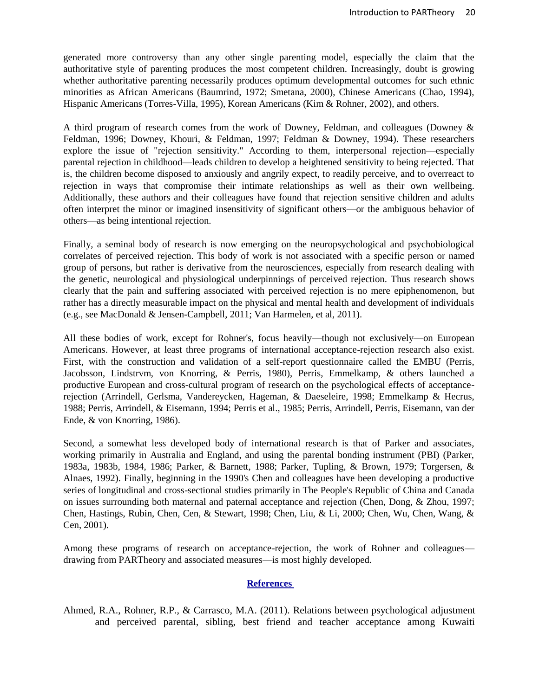generated more controversy than any other single parenting model, especially the claim that the authoritative style of parenting produces the most competent children. Increasingly, doubt is growing whether authoritative parenting necessarily produces optimum developmental outcomes for such ethnic minorities as African Americans (Baumrind, 1972; Smetana, 2000), Chinese Americans (Chao, 1994), Hispanic Americans (Torres-Villa, 1995), Korean Americans (Kim & Rohner, 2002), and others.

A third program of research comes from the work of Downey, Feldman, and colleagues (Downey & Feldman, 1996; Downey, Khouri, & Feldman, 1997; Feldman & Downey, 1994). These researchers explore the issue of "rejection sensitivity." According to them, interpersonal rejection—especially parental rejection in childhood—leads children to develop a heightened sensitivity to being rejected. That is, the children become disposed to anxiously and angrily expect, to readily perceive, and to overreact to rejection in ways that compromise their intimate relationships as well as their own wellbeing. Additionally, these authors and their colleagues have found that rejection sensitive children and adults often interpret the minor or imagined insensitivity of significant others—or the ambiguous behavior of others—as being intentional rejection.

Finally, a seminal body of research is now emerging on the neuropsychological and psychobiological correlates of perceived rejection. This body of work is not associated with a specific person or named group of persons, but rather is derivative from the neurosciences, especially from research dealing with the genetic, neurological and physiological underpinnings of perceived rejection. Thus research shows clearly that the pain and suffering associated with perceived rejection is no mere epiphenomenon, but rather has a directly measurable impact on the physical and mental health and development of individuals (e.g., see MacDonald & Jensen-Campbell, 2011; Van Harmelen, et al, 2011).

All these bodies of work, except for Rohner's, focus heavily—though not exclusively—on European Americans. However, at least three programs of international acceptance-rejection research also exist. First, with the construction and validation of a self-report questionnaire called the EMBU (Perris, Jacobsson, Lindstrvm, von Knorring, & Perris, 1980), Perris, Emmelkamp, & others launched a productive European and cross-cultural program of research on the psychological effects of acceptancerejection (Arrindell, Gerlsma, Vandereycken, Hageman, & Daeseleire, 1998; Emmelkamp & Hecrus, 1988; Perris, Arrindell, & Eisemann, 1994; Perris et al., 1985; Perris, Arrindell, Perris, Eisemann, van der Ende, & von Knorring, 1986).

Second, a somewhat less developed body of international research is that of Parker and associates, working primarily in Australia and England, and using the parental bonding instrument (PBI) (Parker, 1983a, 1983b, 1984, 1986; Parker, & Barnett, 1988; Parker, Tupling, & Brown, 1979; Torgersen, & Alnaes, 1992). Finally, beginning in the 1990's Chen and colleagues have been developing a productive series of longitudinal and cross-sectional studies primarily in The People's Republic of China and Canada on issues surrounding both maternal and paternal acceptance and rejection (Chen, Dong, & Zhou, 1997; Chen, Hastings, Rubin, Chen, Cen, & Stewart, 1998; Chen, Liu, & Li, 2000; Chen, Wu, Chen, Wang, & Cen, 2001).

Among these programs of research on acceptance-rejection, the work of Rohner and colleagues drawing from PARTheory and associated measures—is most highly developed.

#### **References**

Ahmed, R.A., Rohner, R.P., & Carrasco, M.A. (2011). Relations between psychological adjustment and perceived parental, sibling, best friend and teacher acceptance among Kuwaiti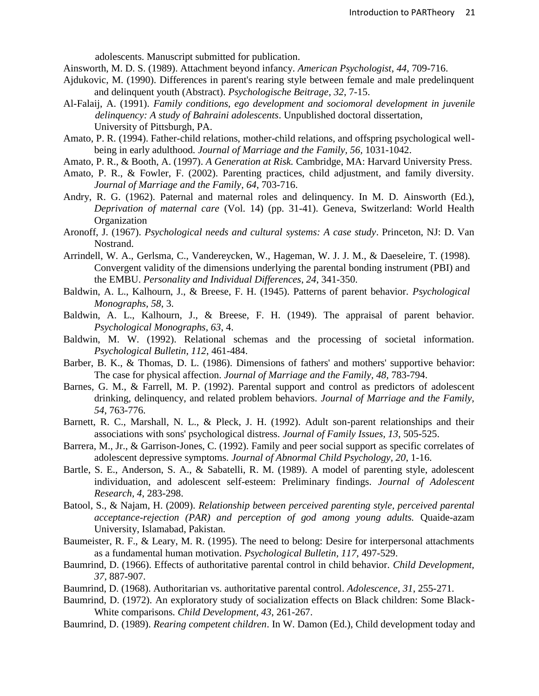adolescents. Manuscript submitted for publication.

- Ainsworth, M. D. S. (1989). Attachment beyond infancy. *American Psychologist*, *44*, 709-716.
- Ajdukovic, M. (1990). Differences in parent's rearing style between female and male predelinquent and delinquent youth (Abstract). *Psychologische Beitrage*, *32*, 7-15.
- Al-Falaij, A. (1991). *Family conditions, ego development and sociomoral development in juvenile delinquency: A study of Bahraini adolescents*. Unpublished doctoral dissertation, University of Pittsburgh, PA.
- Amato, P. R. (1994). Father-child relations, mother-child relations, and offspring psychological wellbeing in early adulthood*. Journal of Marriage and the Family, 56,* 1031-1042.
- Amato, P. R., & Booth, A. (1997). *A Generation at Risk.* Cambridge, MA: Harvard University Press.
- Amato, P. R., & Fowler, F. (2002). Parenting practices, child adjustment, and family diversity. *Journal of Marriage and the Family*, *64*, 703-716.
- Andry, R. G. (1962). Paternal and maternal roles and delinquency. In M. D. Ainsworth (Ed.), *Deprivation of maternal care* (Vol. 14) (pp. 31-41). Geneva, Switzerland: World Health **Organization**
- Aronoff, J. (1967). *Psychological needs and cultural systems: A case study*. Princeton, NJ: D. Van Nostrand.
- Arrindell, W. A., Gerlsma, C., Vandereycken, W., Hageman, W. J. J. M., & Daeseleire, T. (1998). Convergent validity of the dimensions underlying the parental bonding instrument (PBI) and the EMBU. *Personality and Individual Differences*, *24*, 341-350.
- Baldwin, A. L., Kalhourn, J., & Breese, F. H. (1945). Patterns of parent behavior. *Psychological Monographs, 58*, 3.
- Baldwin, A. L., Kalhourn, J., & Breese, F. H. (1949). The appraisal of parent behavior. *Psychological Monographs*, *63*, 4.
- Baldwin, M. W. (1992). Relational schemas and the processing of societal information. *Psychological Bulletin, 112*, 461-484.
- Barber, B. K., & Thomas, D. L. (1986). Dimensions of fathers' and mothers' supportive behavior: The case for physical affection. *Journal of Marriage and the Family, 48,* 783-794.
- Barnes, G. M., & Farrell, M. P. (1992). Parental support and control as predictors of adolescent drinking, delinquency, and related problem behaviors. *Journal of Marriage and the Family, 54*, 763-776.
- Barnett, R. C., Marshall, N. L., & Pleck, J. H. (1992). Adult son-parent relationships and their associations with sons' psychological distress. *Journal of Family Issues, 13*, 505-525.
- Barrera, M., Jr., & Garrison-Jones, C. (1992). Family and peer social support as specific correlates of adolescent depressive symptoms. *Journal of Abnormal Child Psychology, 20*, 1-16.
- Bartle, S. E., Anderson, S. A., & Sabatelli, R. M. (1989). A model of parenting style, adolescent individuation, and adolescent self-esteem: Preliminary findings. *Journal of Adolescent Research, 4*, 283-298.
- Batool, S., & Najam, H. (2009). *Relationship between perceived parenting style, perceived parental acceptance-rejection (PAR) and perception of god among young adults.* Quaide-azam University, Islamabad, Pakistan.
- Baumeister, R. F., & Leary, M. R. (1995). The need to belong: Desire for interpersonal attachments as a fundamental human motivation. *Psychological Bulletin, 117,* 497-529.
- Baumrind, D. (1966). Effects of authoritative parental control in child behavior. *Child Development, 37,* 887-907.
- Baumrind, D. (1968). Authoritarian vs. authoritative parental control. *Adolescence, 31*, 255-271.
- Baumrind, D. (1972). An exploratory study of socialization effects on Black children: Some Black-White comparisons. *Child Development, 43*, 261-267.
- Baumrind, D. (1989). *Rearing competent children*. In W. Damon (Ed.), Child development today and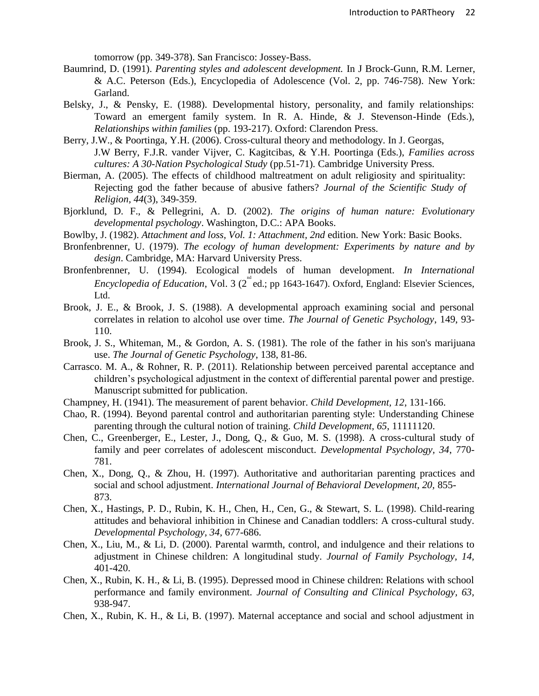tomorrow (pp. 349-378). San Francisco: Jossey-Bass.

- Baumrind, D. (1991). *Parenting styles and adolescent development.* In J Brock-Gunn, R.M. Lerner, & A.C. Peterson (Eds.), Encyclopedia of Adolescence (Vol. 2, pp. 746-758). New York: Garland.
- Belsky, J., & Pensky, E. (1988). Developmental history, personality, and family relationships: Toward an emergent family system. In R. A. Hinde, & J. Stevenson-Hinde (Eds.), *Relationships within families* (pp. 193-217). Oxford: Clarendon Press.
- Berry, J.W., & Poortinga, Y.H. (2006). Cross-cultural theory and methodology. In J. Georgas, J.W Berry, F.J.R. vander Vijver, C. Kagitcibas, & Y.H. Poortinga (Eds.), *Families across cultures: A 30-Nation Psychological Study* (pp.51-71)*.* Cambridge University Press.
- Bierman, A. (2005). The effects of childhood maltreatment on adult religiosity and spirituality: Rejecting god the father because of abusive fathers? *Journal of the Scientific Study of Religion, 44*(3), 349-359.
- Bjorklund, D. F., & Pellegrini, A. D. (2002). *The origins of human nature: Evolutionary developmental psychology*. Washington, D.C.: APA Books.
- Bowlby, J. (1982). *Attachment and loss, Vol. 1: Attachment, 2nd* edition. New York: Basic Books.
- Bronfenbrenner, U. (1979). *The ecology of human development: Experiments by nature and by design*. Cambridge, MA: Harvard University Press.
- Bronfenbrenner, U. (1994). Ecological models of human development*. In International Encyclopedia of Education*, Vol. 3 ( $2^{nd}$  ed.; pp 1643-1647). Oxford, England: Elsevier Sciences, Ltd.
- Brook, J. E., & Brook, J. S. (1988). A developmental approach examining social and personal correlates in relation to alcohol use over time. *The Journal of Genetic Psychology*, 149, 93- 110.
- Brook, J. S., Whiteman, M., & Gordon, A. S. (1981). The role of the father in his son's marijuana use. *The Journal of Genetic Psychology*, 138, 81-86.
- Carrasco. M. A., & Rohner, R. P. (2011). Relationship between perceived parental acceptance and children's psychological adjustment in the context of differential parental power and prestige. Manuscript submitted for publication.
- Champney, H. (1941). The measurement of parent behavior. *Child Development, 12*, 131-166.
- Chao, R. (1994). Beyond parental control and authoritarian parenting style: Understanding Chinese parenting through the cultural notion of training. *Child Development, 65*, 11111120.
- Chen, C., Greenberger, E., Lester, J., Dong, Q., & Guo, M. S. (1998). A cross-cultural study of family and peer correlates of adolescent misconduct. *Developmental Psychology, 34*, 770- 781.
- Chen, X., Dong, Q., & Zhou, H. (1997). Authoritative and authoritarian parenting practices and social and school adjustment. *International Journal of Behavioral Development*, 20, 855-873.
- Chen, X., Hastings, P. D., Rubin, K. H., Chen, H., Cen, G., & Stewart, S. L. (1998). Child-rearing attitudes and behavioral inhibition in Chinese and Canadian toddlers: A cross-cultural study. *Developmental Psychology, 34,* 677-686.
- Chen, X., Liu, M., & Li, D. (2000). Parental warmth, control, and indulgence and their relations to adjustment in Chinese children: A longitudinal study*. Journal of Family Psychology, 14,*  401-420.
- Chen, X., Rubin, K. H., & Li, B. (1995). Depressed mood in Chinese children: Relations with school performance and family environment. *Journal of Consulting and Clinical Psychology, 63,*  938-947.
- Chen, X., Rubin, K. H., & Li, B. (1997). Maternal acceptance and social and school adjustment in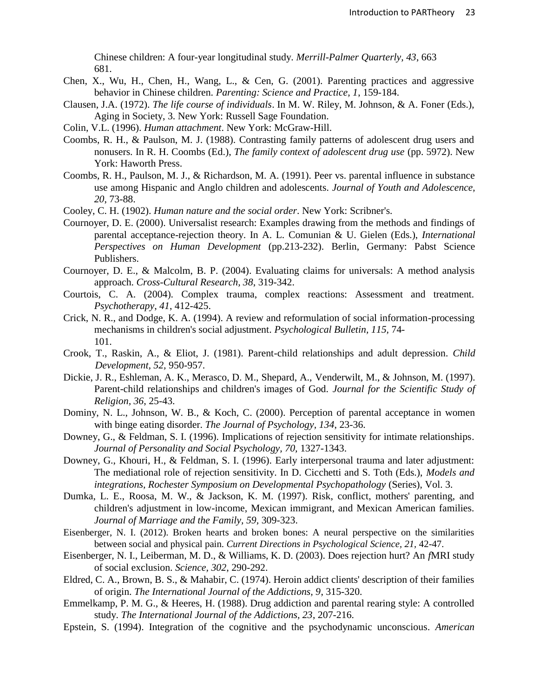Chinese children: A four-year longitudinal study. *Merrill-Palmer Quarterly, 43*, 663 681.

- Chen, X., Wu, H., Chen, H., Wang, L., & Cen, G. (2001). Parenting practices and aggressive behavior in Chinese children. *Parenting: Science and Practice, 1*, 159-184.
- Clausen, J.A. (1972). *The life course of individuals*. In M. W. Riley, M. Johnson, & A. Foner (Eds.), Aging in Society, 3. New York: Russell Sage Foundation.
- Colin, V.L. (1996). *Human attachment*. New York: McGraw-Hill.
- Coombs, R. H., & Paulson, M. J. (1988). Contrasting family patterns of adolescent drug users and nonusers. In R. H. Coombs (Ed.), *The family context of adolescent drug use* (pp. 5972). New York: Haworth Press.
- Coombs, R. H., Paulson, M. J., & Richardson, M. A. (1991). Peer vs. parental influence in substance use among Hispanic and Anglo children and adolescents*. Journal of Youth and Adolescence, 20*, 73-88.
- Cooley, C. H. (1902). *Human nature and the social order*. New York: Scribner's.
- Cournoyer, D. E. (2000). Universalist research: Examples drawing from the methods and findings of parental acceptance-rejection theory. In A. L. Comunian & U. Gielen (Eds.), *International Perspectives on Human Development* (pp.213-232). Berlin, Germany: Pabst Science Publishers.
- Cournoyer, D. E., & Malcolm, B. P. (2004). Evaluating claims for universals: A method analysis approach. *Cross-Cultural Research, 38*, 319-342.
- Courtois, C. A. (2004). Complex trauma, complex reactions: Assessment and treatment. *Psychotherapy*, *41*, 412-425.
- Crick, N. R., and Dodge, K. A. (1994). A review and reformulation of social information-processing mechanisms in children's social adjustment. *Psychological Bulletin, 115,* 74- 101.
- Crook, T., Raskin, A., & Eliot, J. (1981). Parent-child relationships and adult depression. *Child Development, 52,* 950-957.
- Dickie, J. R., Eshleman, A. K., Merasco, D. M., Shepard, A., Venderwilt, M., & Johnson, M. (1997). Parent-child relationships and children's images of God. *Journal for the Scientific Study of Religion, 36*, 25-43.
- Dominy, N. L., Johnson, W. B., & Koch, C. (2000). Perception of parental acceptance in women with binge eating disorder. *The Journal of Psychology, 134*, 23-36.
- Downey, G., & Feldman, S. I. (1996). Implications of rejection sensitivity for intimate relationships*. Journal of Personality and Social Psychology, 70,* 1327-1343.
- Downey, G., Khouri, H., & Feldman, S. I. (1996). Early interpersonal trauma and later adjustment: The mediational role of rejection sensitivity. In D. Cicchetti and S. Toth (Eds.), *Models and integrations, Rochester Symposium on Developmental Psychopathology* (Series), Vol. 3.
- Dumka, L. E., Roosa, M. W., & Jackson, K. M. (1997). Risk, conflict, mothers' parenting, and children's adjustment in low-income, Mexican immigrant, and Mexican American families. *Journal of Marriage and the Family, 59,* 309-323.
- Eisenberger, N. I. (2012). Broken hearts and broken bones: A neural perspective on the similarities between social and physical pain. *Current Directions in Psychological Science, 21,* 42-47.
- Eisenberger, N. I., Leiberman, M. D., & Williams, K. D. (2003). Does rejection hurt? An *f*MRI study of social exclusion. *Science, 302*, 290-292.
- Eldred, C. A., Brown, B. S., & Mahabir, C. (1974). Heroin addict clients' description of their families of origin. *The International Journal of the Addictions, 9*, 315-320.
- Emmelkamp, P. M. G., & Heeres, H. (1988). Drug addiction and parental rearing style: A controlled study. *The International Journal of the Addictions, 23*, 207-216.
- Epstein, S. (1994). Integration of the cognitive and the psychodynamic unconscious*. American*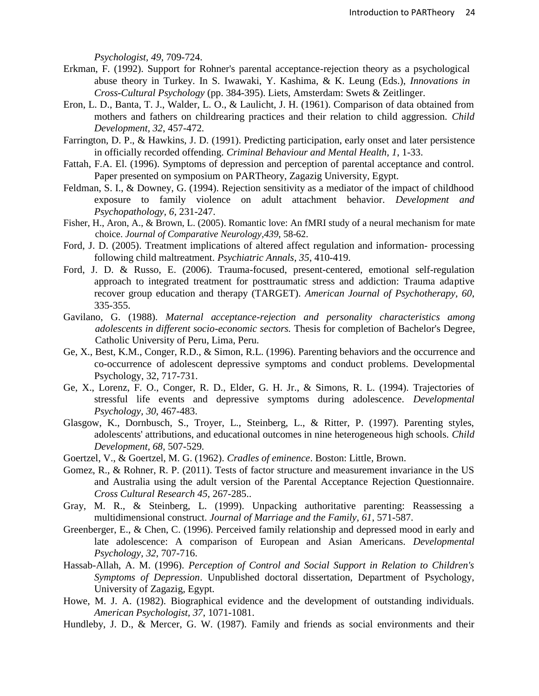*Psychologist, 49,* 709-724.

- Erkman, F. (1992). Support for Rohner's parental acceptance-rejection theory as a psychological abuse theory in Turkey. In S. Iwawaki, Y. Kashima, & K. Leung (Eds.), *Innovations in Cross-Cultural Psychology* (pp. 384-395). Liets, Amsterdam: Swets & Zeitlinger.
- Eron, L. D., Banta, T. J., Walder, L. O., & Laulicht, J. H. (1961). Comparison of data obtained from mothers and fathers on childrearing practices and their relation to child aggression. *Child Development, 32*, 457-472.
- Farrington, D. P., & Hawkins, J. D. (1991). Predicting participation, early onset and later persistence in officially recorded offending. *Criminal Behaviour and Mental Health, 1*, 1-33.
- Fattah, F.A. El. (1996). Symptoms of depression and perception of parental acceptance and control. Paper presented on symposium on PARTheory, Zagazig University, Egypt.
- Feldman, S. I., & Downey, G. (1994). Rejection sensitivity as a mediator of the impact of childhood exposure to family violence on adult attachment behavior*. Development and Psychopathology, 6,* 231-247.
- Fisher, H., Aron, A., & Brown, L. (2005). Romantic love: An fMRI study of a neural mechanism for mate choice. *Journal of Comparative Neurology,439*, 58-62.
- Ford, J. D. (2005). Treatment implications of altered affect regulation and information- processing following child maltreatment. *Psychiatric Annals*, *35*, 410-419.
- Ford, J. D. & Russo, E. (2006). Trauma-focused, present-centered, emotional self-regulation approach to integrated treatment for posttraumatic stress and addiction: Trauma adaptive recover group education and therapy (TARGET). *American Journal of Psychotherapy, 60*, 335-355.
- Gavilano, G. (1988). *Maternal acceptance-rejection and personality characteristics among adolescents in different socio-economic sectors.* Thesis for completion of Bachelor's Degree, Catholic University of Peru, Lima, Peru.
- Ge, X., Best, K.M., Conger, R.D., & Simon, R.L. (1996). Parenting behaviors and the occurrence and co-occurrence of adolescent depressive symptoms and conduct problems. Developmental Psychology, 32, 717-731.
- Ge, X., Lorenz, F. O., Conger, R. D., Elder, G. H. Jr., & Simons, R. L. (1994). Trajectories of stressful life events and depressive symptoms during adolescence. *Developmental Psychology, 30,* 467-483.
- Glasgow, K., Dornbusch, S., Troyer, L., Steinberg, L., & Ritter, P. (1997). Parenting styles, adolescents' attributions, and educational outcomes in nine heterogeneous high schools. *Child Development, 68,* 507-529.
- Goertzel, V., & Goertzel, M. G. (1962). *Cradles of eminence*. Boston: Little, Brown.
- Gomez, R., & Rohner, R. P. (2011). Tests of factor structure and measurement invariance in the US and Australia using the adult version of the Parental Acceptance Rejection Questionnaire. *Cross Cultural Research 45,* 267-285..
- Gray, M. R., & Steinberg, L. (1999). Unpacking authoritative parenting: Reassessing a multidimensional construct. *Journal of Marriage and the Family, 61*, 571-587.
- Greenberger, E., & Chen, C. (1996). Perceived family relationship and depressed mood in early and late adolescence: A comparison of European and Asian Americans. *Developmental Psychology, 32,* 707-716.
- Hassab-Allah, A. M. (1996). *Perception of Control and Social Support in Relation to Children's Symptoms of Depression*. Unpublished doctoral dissertation, Department of Psychology, University of Zagazig, Egypt.
- Howe, M. J. A. (1982). Biographical evidence and the development of outstanding individuals. *American Psychologist, 37*, 1071-1081.
- Hundleby, J. D., & Mercer, G. W. (1987). Family and friends as social environments and their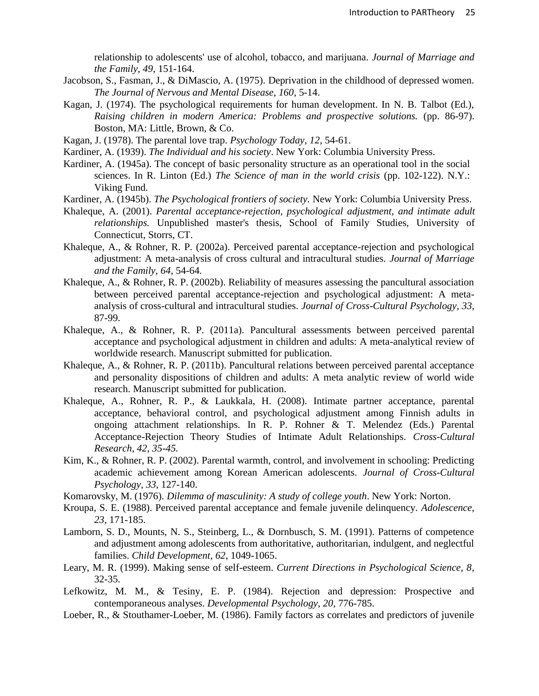relationship to adolescents' use of alcohol, tobacco, and marijuana. *Journal of Marriage and the Family, 49*, 151-164.

- Jacobson, S., Fasman, J., & DiMascio, A. (1975). Deprivation in the childhood of depressed women. *The Journal of Nervous and Mental Disease, 160*, 5-14.
- Kagan, J. (1974). The psychological requirements for human development. In N. B. Talbot (Ed.), *Raising children in modern America: Problems and prospective solutions.* (pp. 86-97). Boston, MA: Little, Brown, & Co.
- Kagan, J. (1978). The parental love trap. *Psychology Today, 12*, 54-61.
- Kardiner, A. (1939). *The Individual and his society*. New York: Columbia University Press.
- Kardiner, A. (1945a). The concept of basic personality structure as an operational tool in the social sciences. In R. Linton (Ed.) *The Science of man in the world crisis* (pp. 102-122). N.Y.: Viking Fund.
- Kardiner, A. (1945b). *The Psychological frontiers of society.* New York: Columbia University Press.
- Khaleque, A. (2001). *Parental acceptance-rejection, psychological adjustment, and intimate adult relationships.* Unpublished master's thesis, School of Family Studies, University of Connecticut, Storrs, CT.
- Khaleque, A., & Rohner, R. P. (2002a). Perceived parental acceptance-rejection and psychological adjustment: A meta-analysis of cross cultural and intracultural studies. *Journal of Marriage and the Family, 64*, 54-64.
- Khaleque, A., & Rohner, R. P. (2002b). Reliability of measures assessing the pancultural association between perceived parental acceptance-rejection and psychological adjustment: A metaanalysis of cross-cultural and intracultural studies. *Journal of Cross-Cultural Psychology, 33,*  87-99.
- Khaleque, A., & Rohner, R. P. (2011a). Pancultural assessments between perceived parental acceptance and psychological adjustment in children and adults: A meta-analytical review of worldwide research. Manuscript submitted for publication.
- Khaleque, A., & Rohner, R. P. (2011b). Pancultural relations between perceived parental acceptance and personality dispositions of children and adults: A meta analytic review of world wide research. Manuscript submitted for publication.
- Khaleque, A., Rohner, R. P., & Laukkala, H. (2008). Intimate partner acceptance, parental acceptance, behavioral control, and psychological adjustment among Finnish adults in ongoing attachment relationships. In R. P. Rohner & T. Melendez (Eds.) Parental Acceptance-Rejection Theory Studies of Intimate Adult Relationships. *Cross-Cultural Research, 42, 35-45.*
- Kim, K., & Rohner, R. P. (2002). Parental warmth, control, and involvement in schooling: Predicting academic achievement among Korean American adolescents. *Journal of Cross-Cultural Psychology, 33*, 127-140.
- Komarovsky, M. (1976). *Dilemma of masculinity: A study of college youth*. New York: Norton.
- Kroupa, S. E. (1988). Perceived parental acceptance and female juvenile delinquency. *Adolescence, 23*, 171-185.
- Lamborn, S. D., Mounts, N. S., Steinberg, L., & Dornbusch, S. M. (1991). Patterns of competence and adjustment among adolescents from authoritative, authoritarian, indulgent, and neglectful families. *Child Development, 62*, 1049-1065.
- Leary, M. R. (1999). Making sense of self-esteem. *Current Directions in Psychological Science, 8*, 32-35.
- Lefkowitz, M. M., & Tesiny, E. P. (1984). Rejection and depression: Prospective and contemporaneous analyses. *Developmental Psychology, 20*, 776-785.
- Loeber, R., & Stouthamer-Loeber, M. (1986). Family factors as correlates and predictors of juvenile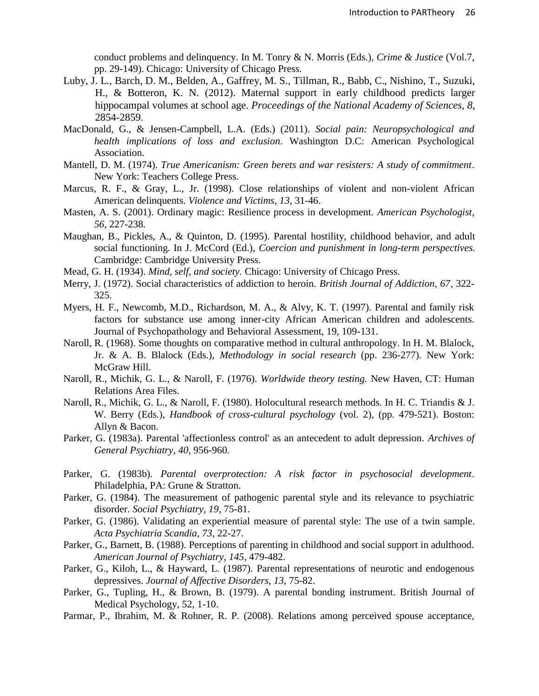conduct problems and delinquency. In M. Tonry & N. Morris (Eds.), *Crime & Justice* (Vol.7, pp. 29-149). Chicago: University of Chicago Press.

- Luby, J. L., Barch, D. M., Belden, A., Gaffrey, M. S., Tillman, R., Babb, C., Nishino, T., Suzuki, H., & Botteron, K. N. (2012). Maternal support in early childhood predicts larger hippocampal volumes at school age. *Proceedings of the National Academy of Sciences, 8,* 2854-2859.
- MacDonald, G., & Jensen-Campbell, L.A. (Eds.) (2011). *Social pain: Neuropsychological and health implications of loss and exclusion*. Washington D.C: American Psychological Association.
- Mantell, D. M. (1974). *True Americanism: Green berets and war resisters: A study of commitment*. New York: Teachers College Press.
- Marcus, R. F., & Gray, L., Jr. (1998). Close relationships of violent and non-violent African American delinquents. *Violence and Victims*, *13*, 31-46.
- Masten, A. S. (2001). Ordinary magic: Resilience process in development. *American Psychologist, 56,* 227-238.
- Maughan, B., Pickles, A., & Quinton, D. (1995). Parental hostility, childhood behavior, and adult social functioning. In J. McCord (Ed.), *Coercion and punishment in long-term perspectives.*  Cambridge: Cambridge University Press.
- Mead, G. H. (1934). *Mind, self, and society.* Chicago: University of Chicago Press.
- Merry, J. (1972). Social characteristics of addiction to heroin. *British Journal of Addiction, 67*, 322- 325.
- Myers, H. F., Newcomb, M.D., Richardson, M. A., & Alvy, K. T. (1997). Parental and family risk factors for substance use among inner-city African American children and adolescents. Journal of Psychopathology and Behavioral Assessment, 19, 109-131.
- Naroll, R. (1968). Some thoughts on comparative method in cultural anthropology. In H. M. Blalock, Jr. & A. B. Blalock (Eds.), *Methodology in social research* (pp. 236-277). New York: McGraw Hill.
- Naroll, R., Michik, G. L., & Naroll, F. (1976). *Worldwide theory testing.* New Haven, CT: Human Relations Area Files.
- Naroll, R., Michik, G. L., & Naroll, F. (1980). Holocultural research methods. In H. C. Triandis & J. W. Berry (Eds.), *Handbook of cross-cultural psychology* (vol. 2), (pp. 479-521). Boston: Allyn & Bacon.
- Parker, G. (1983a). Parental 'affectionless control' as an antecedent to adult depression. *Archives of General Psychiatry, 40,* 956-960.
- Parker, G. (1983b). *Parental overprotection: A risk factor in psychosocial development*. Philadelphia, PA: Grune & Stratton.
- Parker, G. (1984). The measurement of pathogenic parental style and its relevance to psychiatric disorder. *Social Psychiatry, 19*, 75-81.
- Parker, G. (1986). Validating an experiential measure of parental style: The use of a twin sample. *Acta Psychiatria Scandia, 73*, 22-27.
- Parker, G., Barnett, B. (1988). Perceptions of parenting in childhood and social support in adulthood. *American Journal of Psychiatry, 145*, 479-482.
- Parker, G., Kiloh, L., & Hayward, L. (1987). Parental representations of neurotic and endogenous depressives. *Journal of Affective Disorders, 13,* 75-82.
- Parker, G., Tupling, H., & Brown, B. (1979). A parental bonding instrument. British Journal of Medical Psychology, 52, 1-10.
- Parmar, P., Ibrahim, M. & Rohner, R. P. (2008). Relations among perceived spouse acceptance,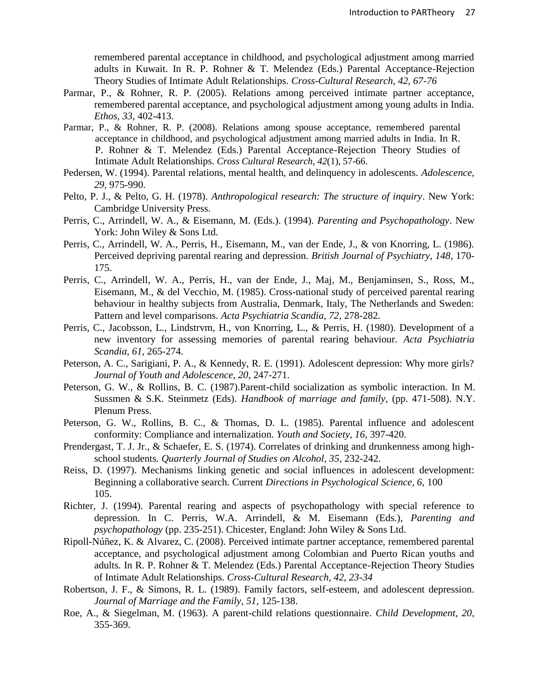remembered parental acceptance in childhood, and psychological adjustment among married adults in Kuwait. In R. P. Rohner & T. Melendez (Eds.) Parental Acceptance-Rejection Theory Studies of Intimate Adult Relationships. *Cross-Cultural Research, 42, 67-76* 

- Parmar, P., & Rohner, R. P. (2005). Relations among perceived intimate partner acceptance, remembered parental acceptance, and psychological adjustment among young adults in India. *Ethos, 33,* 402-413.
- Parmar, P., & Rohner, R. P. (2008). Relations among spouse acceptance, remembered parental acceptance in childhood, and psychological adjustment among married adults in India. In R. P. Rohner & T. Melendez (Eds.) Parental Acceptance-Rejection Theory Studies of Intimate Adult Relationships. *Cross Cultural Research, 42*(1), 57-66.
- Pedersen, W. (1994). Parental relations, mental health, and delinquency in adolescents. *Adolescence, 29,* 975-990.
- Pelto, P. J., & Pelto, G. H. (1978). *Anthropological research: The structure of inquiry*. New York: Cambridge University Press.
- Perris, C., Arrindell, W. A., & Eisemann, M. (Eds.). (1994). *Parenting and Psychopathology*. New York: John Wiley & Sons Ltd.
- Perris, C., Arrindell, W. A., Perris, H., Eisemann, M., van der Ende, J., & von Knorring, L. (1986). Perceived depriving parental rearing and depression. *British Journal of Psychiatry, 148*, 170- 175.
- Perris, C., Arrindell, W. A., Perris, H., van der Ende, J., Maj, M., Benjaminsen, S., Ross, M., Eisemann, M., & del Vecchio, M. (1985). Cross-national study of perceived parental rearing behaviour in healthy subjects from Australia, Denmark, Italy, The Netherlands and Sweden: Pattern and level comparisons*. Acta Psychiatria Scandia, 72*, 278-282.
- Perris, C., Jacobsson, L., Lindstrvm, H., von Knorring, L., & Perris, H. (1980). Development of a new inventory for assessing memories of parental rearing behaviour. *Acta Psychiatria Scandia, 61*, 265-274.
- Peterson, A. C., Sarigiani, P. A., & Kennedy, R. E. (1991). Adolescent depression: Why more girls? *Journal of Youth and Adolescence, 20*, 247-271.
- Peterson, G. W., & Rollins, B. C. (1987).Parent-child socialization as symbolic interaction. In M. Sussmen & S.K. Steinmetz (Eds). *Handbook of marriage and family*, (pp. 471-508). N.Y. Plenum Press.
- Peterson, G. W., Rollins, B. C., & Thomas, D. L. (1985). Parental influence and adolescent conformity: Compliance and internalization. *Youth and Society, 16*, 397-420.
- Prendergast, T. J. Jr., & Schaefer, E. S. (1974). Correlates of drinking and drunkenness among highschool students*. Quarterly Journal of Studies on Alcohol, 35*, 232-242.
- Reiss, D. (1997). Mechanisms linking genetic and social influences in adolescent development: Beginning a collaborative search. Current *Directions in Psychological Science, 6,* 100 105.
- Richter, J. (1994). Parental rearing and aspects of psychopathology with special reference to depression. In C. Perris, W.A. Arrindell, & M. Eisemann (Eds.), *Parenting and psychopathology* (pp. 235-251). Chicester, England: John Wiley & Sons Ltd.
- Ripoll-Núñez, K. & Alvarez, C. (2008). Perceived intimate partner acceptance, remembered parental acceptance, and psychological adjustment among Colombian and Puerto Rican youths and adults. In R. P. Rohner & T. Melendez (Eds.) Parental Acceptance-Rejection Theory Studies of Intimate Adult Relationships. *Cross-Cultural Research, 42, 23-34*
- Robertson, J. F., & Simons, R. L. (1989). Family factors, self-esteem, and adolescent depression. *Journal of Marriage and the Family, 51,* 125-138.
- Roe, A., & Siegelman, M. (1963). A parent-child relations questionnaire. *Child Development, 20*, 355-369.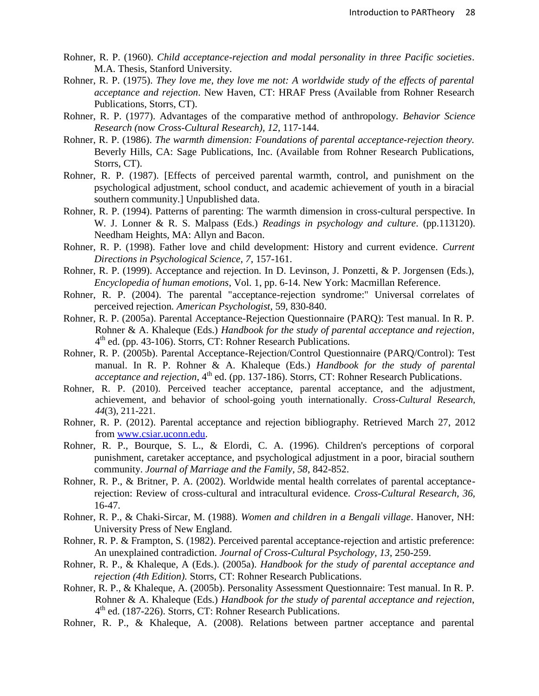- Rohner, R. P. (1960). *Child acceptance-rejection and modal personality in three Pacific societies*. M.A. Thesis, Stanford University.
- Rohner, R. P. (1975). *They love me, they love me not: A worldwide study of the effects of parental acceptance and rejection*. New Haven, CT: HRAF Press (Available from Rohner Research Publications, Storrs, CT).
- Rohner, R. P. (1977). Advantages of the comparative method of anthropology. *Behavior Science Research (*now *Cross-Cultural Research), 12*, 117-144.
- Rohner, R. P. (1986). *The warmth dimension: Foundations of parental acceptance-rejection theory.*  Beverly Hills, CA: Sage Publications, Inc. (Available from Rohner Research Publications, Storrs, CT).
- Rohner, R. P. (1987). [Effects of perceived parental warmth, control, and punishment on the psychological adjustment, school conduct, and academic achievement of youth in a biracial southern community.] Unpublished data.
- Rohner, R. P. (1994). Patterns of parenting: The warmth dimension in cross-cultural perspective. In W. J. Lonner & R. S. Malpass (Eds.) *Readings in psychology and culture*. (pp.113120). Needham Heights, MA: Allyn and Bacon.
- Rohner, R. P. (1998). Father love and child development: History and current evidence. *Current Directions in Psychological Science, 7*, 157-161.
- Rohner, R. P. (1999). Acceptance and rejection. In D. Levinson, J. Ponzetti, & P. Jorgensen (Eds.), *Encyclopedia of human emotions*, Vol. 1, pp. 6-14. New York: Macmillan Reference.
- Rohner, R. P. (2004). The parental "acceptance-rejection syndrome:" Universal correlates of perceived rejection*. American Psychologist*, 59, 830-840.
- Rohner, R. P. (2005a). Parental Acceptance-Rejection Questionnaire (PARQ): Test manual. In R. P. Rohner & A. Khaleque (Eds.) *Handbook for the study of parental acceptance and rejection*, 4<sup>th</sup> ed. (pp. 43-106). Storrs, CT: Rohner Research Publications.
- Rohner, R. P. (2005b). Parental Acceptance-Rejection/Control Questionnaire (PARQ/Control): Test manual. In R. P. Rohner & A. Khaleque (Eds.) *Handbook for the study of parental acceptance and rejection*, 4<sup>th</sup> ed. (pp. 137-186). Storrs, CT: Rohner Research Publications.
- Rohner, R. P. (2010). Perceived teacher acceptance, parental acceptance, and the adjustment, achievement, and behavior of school-going youth internationally. *Cross-Cultural Research, 44*(3), 211-221.
- Rohner, R. P. (2012). Parental acceptance and rejection bibliography. Retrieved March 27, 2012 from www.csiar.uconn.edu.
- Rohner, R. P., Bourque, S. L., & Elordi, C. A. (1996). Children's perceptions of corporal punishment, caretaker acceptance, and psychological adjustment in a poor, biracial southern community. *Journal of Marriage and the Family, 58*, 842-852.
- Rohner, R. P., & Britner, P. A. (2002). Worldwide mental health correlates of parental acceptancerejection: Review of cross-cultural and intracultural evidence*. Cross-Cultural Research, 36,*  16-47.
- Rohner, R. P., & Chaki-Sircar, M. (1988). *Women and children in a Bengali village*. Hanover, NH: University Press of New England.
- Rohner, R. P. & Frampton, S. (1982). Perceived parental acceptance-rejection and artistic preference: An unexplained contradiction. *Journal of Cross-Cultural Psychology, 13*, 250-259.
- Rohner, R. P., & Khaleque, A (Eds.). (2005a). *Handbook for the study of parental acceptance and rejection (4th Edition).* Storrs, CT: Rohner Research Publications.
- Rohner, R. P., & Khaleque, A. (2005b). Personality Assessment Questionnaire: Test manual. In R. P. Rohner & A. Khaleque (Eds.) *Handbook for the study of parental acceptance and rejection*, 4 th ed. (187-226). Storrs, CT: Rohner Research Publications.
- Rohner, R. P., & Khaleque, A. (2008). Relations between partner acceptance and parental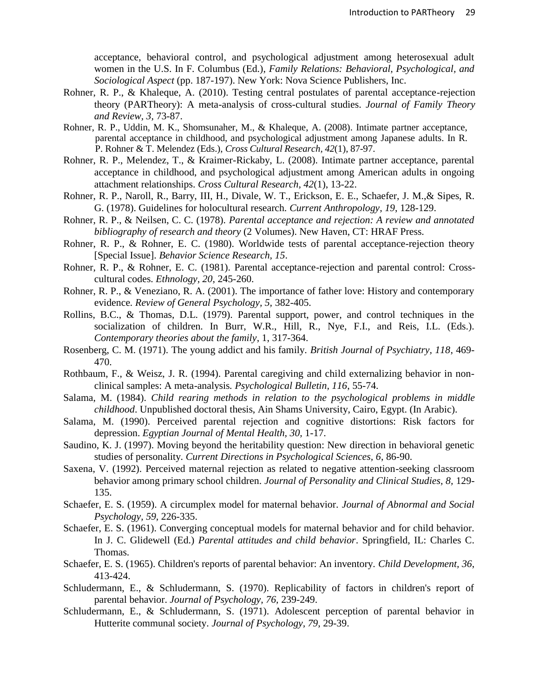acceptance, behavioral control, and psychological adjustment among heterosexual adult women in the U.S. In F. Columbus (Ed.), *Family Relations: Behavioral, Psychological, and Sociological Aspect* (pp. 187-197). New York: Nova Science Publishers, Inc.

- Rohner, R. P., & Khaleque, A. (2010). Testing central postulates of parental acceptance-rejection theory (PARTheory): A meta-analysis of cross-cultural studies. *Journal of Family Theory and Review, 3,* 73-87.
- Rohner, R. P., Uddin, M. K., Shomsunaher, M., & Khaleque, A. (2008). Intimate partner acceptance, parental acceptance in childhood, and psychological adjustment among Japanese adults. In R. P. Rohner & T. Melendez (Eds.), *Cross Cultural Research, 42*(1), 87-97.
- Rohner, R. P., Melendez, T., & Kraimer-Rickaby, L. (2008). Intimate partner acceptance, parental acceptance in childhood, and psychological adjustment among American adults in ongoing attachment relationships. *Cross Cultural Research, 42*(1), 13-22.
- Rohner, R. P., Naroll, R., Barry, III, H., Divale, W. T., Erickson, E. E., Schaefer, J. M.,& Sipes, R. G. (1978). Guidelines for holocultural research*. Current Anthropology, 19*, 128-129.
- Rohner, R. P., & Neilsen, C. C. (1978)*. Parental acceptance and rejection: A review and annotated bibliography of research and theory* (2 Volumes). New Haven, CT: HRAF Press.
- Rohner, R. P., & Rohner, E. C. (1980). Worldwide tests of parental acceptance-rejection theory [Special Issue]. *Behavior Science Research, 15*.
- Rohner, R. P., & Rohner, E. C. (1981). Parental acceptance-rejection and parental control: Crosscultural codes. *Ethnology, 20*, 245-260.
- Rohner, R. P., & Veneziano, R. A. (2001). The importance of father love: History and contemporary evidence*. Review of General Psychology, 5,* 382-405.
- Rollins, B.C., & Thomas, D.L. (1979). Parental support, power, and control techniques in the socialization of children. In Burr, W.R., Hill, R., Nye, F.I., and Reis, I.L. (Eds.). *Contemporary theories about the family*, 1, 317-364.
- Rosenberg, C. M. (1971). The young addict and his family. *British Journal of Psychiatry, 118*, 469- 470.
- Rothbaum, F., & Weisz, J. R. (1994). Parental caregiving and child externalizing behavior in nonclinical samples: A meta-analysis*. Psychological Bulletin, 116*, 55-74.
- Salama, M. (1984). *Child rearing methods in relation to the psychological problems in middle childhood*. Unpublished doctoral thesis, Ain Shams University, Cairo, Egypt. (In Arabic).
- Salama, M. (1990). Perceived parental rejection and cognitive distortions: Risk factors for depression. *Egyptian Journal of Mental Health, 30,* 1-17.
- Saudino, K. J. (1997). Moving beyond the heritability question: New direction in behavioral genetic studies of personality. *Current Directions in Psychological Sciences, 6*, 86-90.
- Saxena, V. (1992). Perceived maternal rejection as related to negative attention-seeking classroom behavior among primary school children. *Journal of Personality and Clinical Studies, 8,* 129- 135.
- Schaefer, E. S. (1959). A circumplex model for maternal behavior. *Journal of Abnormal and Social Psychology, 59,* 226-335.
- Schaefer, E. S. (1961). Converging conceptual models for maternal behavior and for child behavior. In J. C. Glidewell (Ed.) *Parental attitudes and child behavior*. Springfield, IL: Charles C. Thomas.
- Schaefer, E. S. (1965). Children's reports of parental behavior: An inventory. *Child Development, 36*, 413-424.
- Schludermann, E., & Schludermann, S. (1970). Replicability of factors in children's report of parental behavior. *Journal of Psychology, 76,* 239-249.
- Schludermann, E., & Schludermann, S. (1971). Adolescent perception of parental behavior in Hutterite communal society. *Journal of Psychology, 79,* 29-39.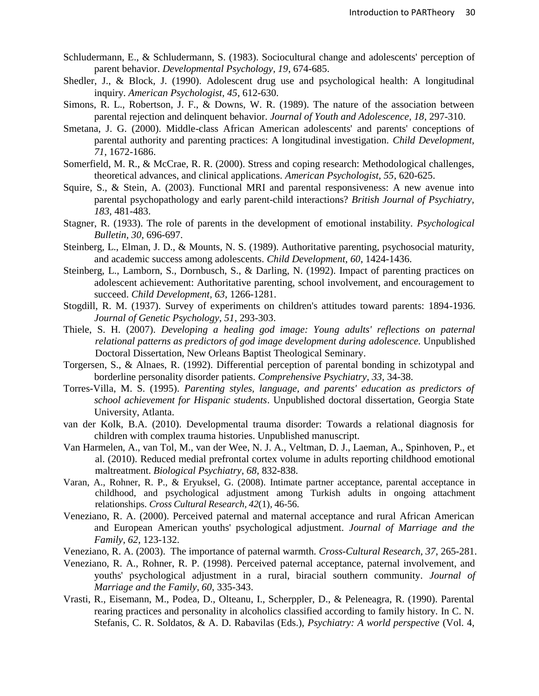- Schludermann, E., & Schludermann, S. (1983). Sociocultural change and adolescents' perception of parent behavior. *Developmental Psychology, 19*, 674-685.
- Shedler, J., & Block, J. (1990). Adolescent drug use and psychological health: A longitudinal inquiry. *American Psychologist, 45*, 612-630.
- Simons, R. L., Robertson, J. F., & Downs, W. R. (1989). The nature of the association between parental rejection and delinquent behavior. *Journal of Youth and Adolescence, 18*, 297-310.
- Smetana, J. G. (2000). Middle-class African American adolescents' and parents' conceptions of parental authority and parenting practices: A longitudinal investigation. *Child Development, 71*, 1672-1686.
- Somerfield, M. R., & McCrae, R. R. (2000). Stress and coping research: Methodological challenges, theoretical advances, and clinical applications*. American Psychologist, 55*, 620-625.
- Squire, S., & Stein, A. (2003). Functional MRI and parental responsiveness: A new avenue into parental psychopathology and early parent-child interactions? *British Journal of Psychiatry, 183*, 481-483.
- Stagner, R. (1933). The role of parents in the development of emotional instability. *Psychological Bulletin, 30*, 696-697.
- Steinberg, L., Elman, J. D., & Mounts, N. S. (1989). Authoritative parenting, psychosocial maturity, and academic success among adolescents. *Child Development, 60*, 1424-1436.
- Steinberg, L., Lamborn, S., Dornbusch, S., & Darling, N. (1992). Impact of parenting practices on adolescent achievement: Authoritative parenting, school involvement, and encouragement to succeed. *Child Development, 63*, 1266-1281.
- Stogdill, R. M. (1937). Survey of experiments on children's attitudes toward parents: 1894-1936. *Journal of Genetic Psychology, 51*, 293-303.
- Thiele, S. H. (2007). *Developing a healing god image: Young adults' reflections on paternal relational patterns as predictors of god image development during adolescence.* Unpublished Doctoral Dissertation, New Orleans Baptist Theological Seminary.
- Torgersen, S., & Alnaes, R. (1992). Differential perception of parental bonding in schizotypal and borderline personality disorder patients. *Comprehensive Psychiatry, 33,* 34-38.
- Torres-Villa, M. S. (1995). *Parenting styles, language, and parents' education as predictors of school achievement for Hispanic students*. Unpublished doctoral dissertation, Georgia State University, Atlanta.
- van der Kolk, B.A. (2010). Developmental trauma disorder: Towards a relational diagnosis for children with complex trauma histories. Unpublished manuscript.
- Van Harmelen, A., van Tol, M., van der Wee, N. J. A., Veltman, D. J., Laeman, A., Spinhoven, P., et al. (2010). Reduced medial prefrontal cortex volume in adults reporting childhood emotional maltreatment. *Biological Psychiatry, 68,* 832-838.
- Varan, A., Rohner, R. P., & Eryuksel, G. (2008). Intimate partner acceptance, parental acceptance in childhood, and psychological adjustment among Turkish adults in ongoing attachment relationships. *Cross Cultural Research, 42*(1), 46-56.
- Veneziano, R. A. (2000). Perceived paternal and maternal acceptance and rural African American and European American youths' psychological adjustment*. Journal of Marriage and the Family, 62*, 123-132.
- Veneziano, R. A. (2003). The importance of paternal warmth*. Cross-Cultural Research, 37*, 265-281.
- Veneziano, R. A., Rohner, R. P. (1998). Perceived paternal acceptance, paternal involvement, and youths' psychological adjustment in a rural, biracial southern community*. Journal of Marriage and the Family, 60*, 335-343.
- Vrasti, R., Eisemann, M., Podea, D., Olteanu, I., Scherppler, D., & Peleneagra, R. (1990). Parental rearing practices and personality in alcoholics classified according to family history. In C. N. Stefanis, C. R. Soldatos, & A. D. Rabavilas (Eds.), *Psychiatry: A world perspective* (Vol. 4,